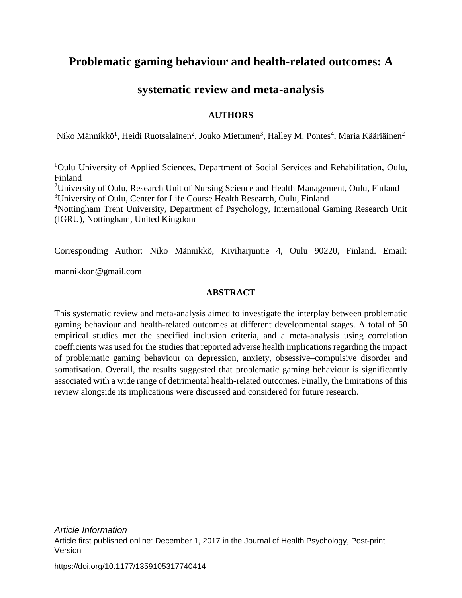# **Problematic gaming behaviour and health-related outcomes: A**

## **systematic review and meta-analysis**

### **AUTHORS**

Niko Männikkö<sup>1</sup>, Heidi Ruotsalainen<sup>2</sup>, Jouko Miettunen<sup>3</sup>, Halley M. Pontes<sup>4</sup>, Maria Kääriäinen<sup>2</sup>

<sup>1</sup>Oulu University of Applied Sciences, Department of Social Services and Rehabilitation, Oulu, Finland

<sup>2</sup>University of Oulu, Research Unit of Nursing Science and Health Management, Oulu, Finland <sup>3</sup>University of Oulu, Center for Life Course Health Research, Oulu, Finland

<sup>4</sup>Nottingham Trent University, Department of Psychology, International Gaming Research Unit (IGRU), Nottingham, United Kingdom

Corresponding Author: Niko Männikkö, Kiviharjuntie 4, Oulu 90220, Finland. Email:

mannikkon@gmail.com

### **ABSTRACT**

This systematic review and meta-analysis aimed to investigate the interplay between problematic gaming behaviour and health-related outcomes at different developmental stages. A total of 50 empirical studies met the specified inclusion criteria, and a meta-analysis using correlation coefficients was used for the studies that reported adverse health implications regarding the impact of problematic gaming behaviour on depression, anxiety, obsessive–compulsive disorder and somatisation. Overall, the results suggested that problematic gaming behaviour is significantly associated with a wide range of detrimental health-related outcomes. Finally, the limitations of this review alongside its implications were discussed and considered for future research.

*Article Information* Article first published online: December 1, 2017 in the Journal of Health Psychology, Post-print Version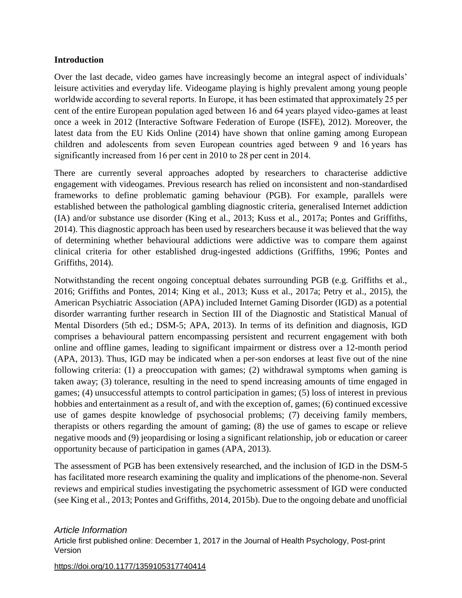### **Introduction**

Over the last decade, video games have increasingly become an integral aspect of individuals' leisure activities and everyday life. Videogame playing is highly prevalent among young people worldwide according to several reports. In Europe, it has been estimated that approximately 25 per cent of the entire European population aged between 16 and 64 years played video-games at least once a week in 2012 (Interactive Software Federation of Europe (ISFE), 2012). Moreover, the latest data from the EU Kids Online (2014) have shown that online gaming among European children and adolescents from seven European countries aged between 9 and 16 years has significantly increased from 16 per cent in 2010 to 28 per cent in 2014.

There are currently several approaches adopted by researchers to characterise addictive engagement with videogames. Previous research has relied on inconsistent and non-standardised frameworks to define problematic gaming behaviour (PGB). For example, parallels were established between the pathological gambling diagnostic criteria, generalised Internet addiction (IA) and/or substance use disorder (King et al., 2013; Kuss et al., 2017a; Pontes and Griffiths, 2014). This diagnostic approach has been used by researchers because it was believed that the way of determining whether behavioural addictions were addictive was to compare them against clinical criteria for other established drug-ingested addictions (Griffiths, 1996; Pontes and Griffiths, 2014).

Notwithstanding the recent ongoing conceptual debates surrounding PGB (e.g. Griffiths et al., 2016; Griffiths and Pontes, 2014; King et al., 2013; Kuss et al., 2017a; Petry et al., 2015), the American Psychiatric Association (APA) included Internet Gaming Disorder (IGD) as a potential disorder warranting further research in Section III of the Diagnostic and Statistical Manual of Mental Disorders (5th ed.; DSM-5; APA, 2013). In terms of its definition and diagnosis, IGD comprises a behavioural pattern encompassing persistent and recurrent engagement with both online and offline games, leading to significant impairment or distress over a 12-month period (APA, 2013). Thus, IGD may be indicated when a per-son endorses at least five out of the nine following criteria: (1) a preoccupation with games; (2) withdrawal symptoms when gaming is taken away; (3) tolerance, resulting in the need to spend increasing amounts of time engaged in games; (4) unsuccessful attempts to control participation in games; (5) loss of interest in previous hobbies and entertainment as a result of, and with the exception of, games; (6) continued excessive use of games despite knowledge of psychosocial problems; (7) deceiving family members, therapists or others regarding the amount of gaming; (8) the use of games to escape or relieve negative moods and (9) jeopardising or losing a significant relationship, job or education or career opportunity because of participation in games (APA, 2013).

The assessment of PGB has been extensively researched, and the inclusion of IGD in the DSM-5 has facilitated more research examining the quality and implications of the phenome-non. Several reviews and empirical studies investigating the psychometric assessment of IGD were conducted (see King et al., 2013; Pontes and Griffiths, 2014, 2015b). Due to the ongoing debate and unofficial

#### *Article Information*

Article first published online: December 1, 2017 in the Journal of Health Psychology, Post-print Version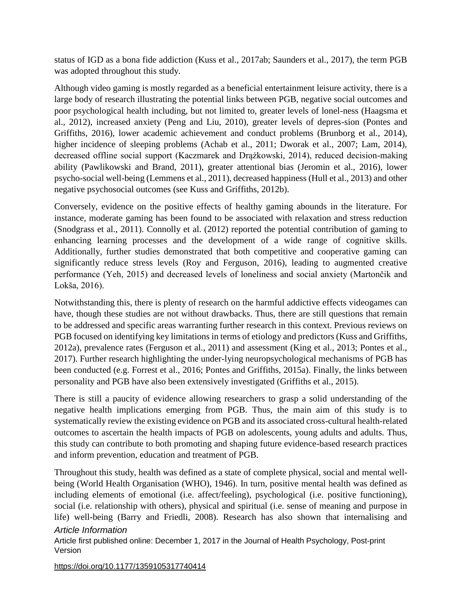status of IGD as a bona fide addiction (Kuss et al., 2017ab; Saunders et al., 2017), the term PGB was adopted throughout this study.

Although video gaming is mostly regarded as a beneficial entertainment leisure activity, there is a large body of research illustrating the potential links between PGB, negative social outcomes and poor psychological health including, but not limited to, greater levels of lonel-ness (Haagsma et al., 2012), increased anxiety (Peng and Liu, 2010), greater levels of depres-sion (Pontes and Griffiths, 2016), lower academic achievement and conduct problems (Brunborg et al., 2014), higher incidence of sleeping problems (Achab et al., 2011; Dworak et al., 2007; Lam, 2014), decreased offline social support (Kaczmarek and Drążkowski, 2014), reduced decision-making ability (Pawlikowski and Brand, 2011), greater attentional bias (Jeromin et al., 2016), lower psycho-social well-being (Lemmens et al., 2011), decreased happiness (Hull et al., 2013) and other negative psychosocial outcomes (see Kuss and Griffiths, 2012b).

Conversely, evidence on the positive effects of healthy gaming abounds in the literature. For instance, moderate gaming has been found to be associated with relaxation and stress reduction (Snodgrass et al., 2011). Connolly et al. (2012) reported the potential contribution of gaming to enhancing learning processes and the development of a wide range of cognitive skills. Additionally, further studies demonstrated that both competitive and cooperative gaming can significantly reduce stress levels (Roy and Ferguson, 2016), leading to augmented creative performance (Yeh, 2015) and decreased levels of loneliness and social anxiety (Martončik and Lokša, 2016).

Notwithstanding this, there is plenty of research on the harmful addictive effects videogames can have, though these studies are not without drawbacks. Thus, there are still questions that remain to be addressed and specific areas warranting further research in this context. Previous reviews on PGB focused on identifying key limitations in terms of etiology and predictors (Kuss and Griffiths, 2012a), prevalence rates (Ferguson et al., 2011) and assessment (King et al., 2013; Pontes et al., 2017). Further research highlighting the under-lying neuropsychological mechanisms of PGB has been conducted (e.g. Forrest et al., 2016; Pontes and Griffiths, 2015a). Finally, the links between personality and PGB have also been extensively investigated (Griffiths et al., 2015).

There is still a paucity of evidence allowing researchers to grasp a solid understanding of the negative health implications emerging from PGB. Thus, the main aim of this study is to systematically review the existing evidence on PGB and its associated cross-cultural health-related outcomes to ascertain the health impacts of PGB on adolescents, young adults and adults. Thus, this study can contribute to both promoting and shaping future evidence-based research practices and inform prevention, education and treatment of PGB.

*Article Information* Throughout this study, health was defined as a state of complete physical, social and mental wellbeing (World Health Organisation (WHO), 1946). In turn, positive mental health was defined as including elements of emotional (i.e. affect/feeling), psychological (i.e. positive functioning), social (i.e. relationship with others), physical and spiritual (i.e. sense of meaning and purpose in life) well-being (Barry and Friedli, 2008). Research has also shown that internalising and

Article first published online: December 1, 2017 in the Journal of Health Psychology, Post-print Version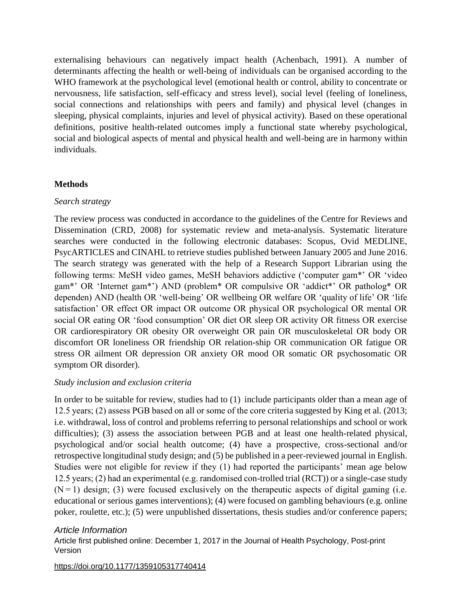externalising behaviours can negatively impact health (Achenbach, 1991). A number of determinants affecting the health or well-being of individuals can be organised according to the WHO framework at the psychological level (emotional health or control, ability to concentrate or nervousness, life satisfaction, self-efficacy and stress level), social level (feeling of loneliness, social connections and relationships with peers and family) and physical level (changes in sleeping, physical complaints, injuries and level of physical activity). Based on these operational definitions, positive health-related outcomes imply a functional state whereby psychological, social and biological aspects of mental and physical health and well-being are in harmony within individuals.

### **Methods**

### *Search strategy*

The review process was conducted in accordance to the guidelines of the Centre for Reviews and Dissemination (CRD, 2008) for systematic review and meta-analysis. Systematic literature searches were conducted in the following electronic databases: Scopus, Ovid MEDLINE, PsycARTICLES and CINAHL to retrieve studies published between January 2005 and June 2016. The search strategy was generated with the help of a Research Support Librarian using the following terms: MeSH video games, MeSH behaviors addictive ('computer gam\*' OR 'video gam\*' OR 'Internet gam\*') AND (problem\* OR compulsive OR 'addict\*' OR patholog\* OR dependen) AND (health OR 'well-being' OR wellbeing OR welfare OR 'quality of life' OR 'life satisfaction' OR effect OR impact OR outcome OR physical OR psychological OR mental OR social OR eating OR 'food consumption' OR diet OR sleep OR activity OR fitness OR exercise OR cardiorespiratory OR obesity OR overweight OR pain OR musculoskeletal OR body OR discomfort OR loneliness OR friendship OR relation-ship OR communication OR fatigue OR stress OR ailment OR depression OR anxiety OR mood OR somatic OR psychosomatic OR symptom OR disorder).

#### *Study inclusion and exclusion criteria*

In order to be suitable for review, studies had to (1) include participants older than a mean age of 12.5 years; (2) assess PGB based on all or some of the core criteria suggested by King et al. (2013; i.e. withdrawal, loss of control and problems referring to personal relationships and school or work difficulties); (3) assess the association between PGB and at least one health-related physical, psychological and/or social health outcome; (4) have a prospective, cross-sectional and/or retrospective longitudinal study design; and (5) be published in a peer-reviewed journal in English. Studies were not eligible for review if they (1) had reported the participants' mean age below 12.5 years; (2) had an experimental (e.g. randomised con-trolled trial (RCT)) or a single-case study  $(N=1)$  design; (3) were focused exclusively on the therapeutic aspects of digital gaming (i.e. educational or serious games interventions); (4) were focused on gambling behaviours (e.g. online poker, roulette, etc.); (5) were unpublished dissertations, thesis studies and/or conference papers;

### *Article Information*

Article first published online: December 1, 2017 in the Journal of Health Psychology, Post-print Version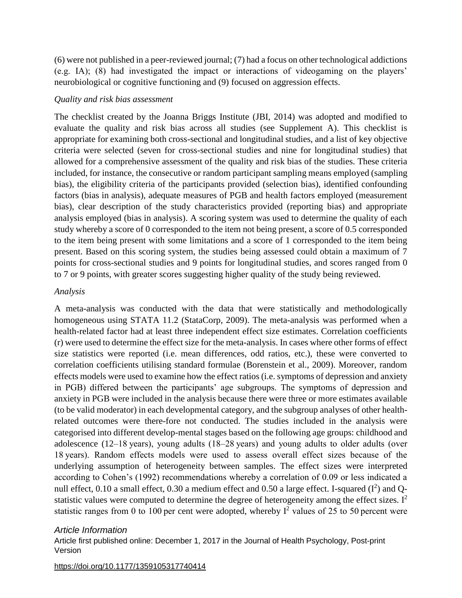(6) were not published in a peer-reviewed journal; (7) had a focus on other technological addictions (e.g. IA); (8) had investigated the impact or interactions of videogaming on the players' neurobiological or cognitive functioning and (9) focused on aggression effects.

#### *Quality and risk bias assessment*

The checklist created by the Joanna Briggs Institute (JBI, 2014) was adopted and modified to evaluate the quality and risk bias across all studies (see Supplement A). This checklist is appropriate for examining both cross-sectional and longitudinal studies, and a list of key objective criteria were selected (seven for cross-sectional studies and nine for longitudinal studies) that allowed for a comprehensive assessment of the quality and risk bias of the studies. These criteria included, for instance, the consecutive or random participant sampling means employed (sampling bias), the eligibility criteria of the participants provided (selection bias), identified confounding factors (bias in analysis), adequate measures of PGB and health factors employed (measurement bias), clear description of the study characteristics provided (reporting bias) and appropriate analysis employed (bias in analysis). A scoring system was used to determine the quality of each study whereby a score of 0 corresponded to the item not being present, a score of 0.5 corresponded to the item being present with some limitations and a score of 1 corresponded to the item being present. Based on this scoring system, the studies being assessed could obtain a maximum of 7 points for cross-sectional studies and 9 points for longitudinal studies, and scores ranged from 0 to 7 or 9 points, with greater scores suggesting higher quality of the study being reviewed.

#### *Analysis*

A meta-analysis was conducted with the data that were statistically and methodologically homogeneous using STATA 11.2 (StataCorp, 2009). The meta-analysis was performed when a health-related factor had at least three independent effect size estimates. Correlation coefficients (r) were used to determine the effect size for the meta-analysis. In cases where other forms of effect size statistics were reported (i.e. mean differences, odd ratios, etc.), these were converted to correlation coefficients utilising standard formulae (Borenstein et al., 2009). Moreover, random effects models were used to examine how the effect ratios (i.e. symptoms of depression and anxiety in PGB) differed between the participants' age subgroups. The symptoms of depression and anxiety in PGB were included in the analysis because there were three or more estimates available (to be valid moderator) in each developmental category, and the subgroup analyses of other healthrelated outcomes were there-fore not conducted. The studies included in the analysis were categorised into different develop-mental stages based on the following age groups: childhood and adolescence (12–18 years), young adults (18–28 years) and young adults to older adults (over 18 years). Random effects models were used to assess overall effect sizes because of the underlying assumption of heterogeneity between samples. The effect sizes were interpreted according to Cohen's (1992) recommendations whereby a correlation of 0.09 or less indicated a null effect, 0.10 a small effect, 0.30 a medium effect and 0.50 a large effect. I-squared  $(I^2)$  and Qstatistic values were computed to determine the degree of heterogeneity among the effect sizes.  $I^2$ statistic ranges from 0 to 100 per cent were adopted, whereby  $I^2$  values of 25 to 50 percent were

#### *Article Information*

Article first published online: December 1, 2017 in the Journal of Health Psychology, Post-print Version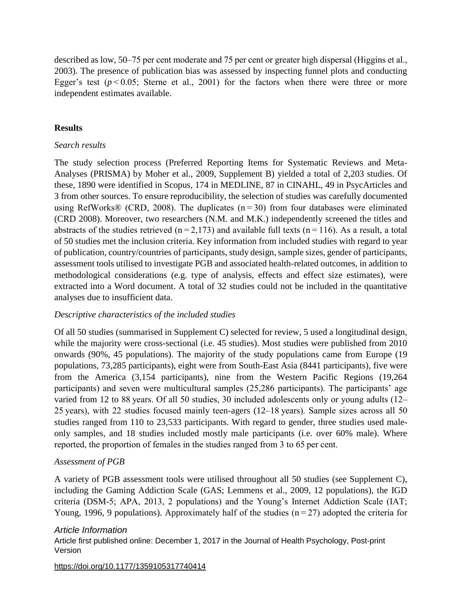described as low, 50–75 per cent moderate and 75 per cent or greater high dispersal (Higgins et al., 2003). The presence of publication bias was assessed by inspecting funnel plots and conducting Egger's test  $(p < 0.05$ ; Sterne et al., 2001) for the factors when there were three or more independent estimates available.

### **Results**

### *Search results*

The study selection process (Preferred Reporting Items for Systematic Reviews and Meta-Analyses (PRISMA) by Moher et al., 2009, Supplement B) yielded a total of 2,203 studies. Of these, 1890 were identified in Scopus, 174 in MEDLINE, 87 in CINAHL, 49 in PsycArticles and 3 from other sources. To ensure reproducibility, the selection of studies was carefully documented using RefWorks® (CRD, 2008). The duplicates  $(n=30)$  from four databases were eliminated (CRD 2008). Moreover, two researchers (N.M. and M.K.) independently screened the titles and abstracts of the studies retrieved ( $n=2,173$ ) and available full texts ( $n=116$ ). As a result, a total of 50 studies met the inclusion criteria. Key information from included studies with regard to year of publication, country/countries of participants, study design, sample sizes, gender of participants, assessment tools utilised to investigate PGB and associated health-related outcomes, in addition to methodological considerations (e.g. type of analysis, effects and effect size estimates), were extracted into a Word document. A total of 32 studies could not be included in the quantitative analyses due to insufficient data.

#### *Descriptive characteristics of the included studies*

Of all 50 studies (summarised in Supplement C) selected for review, 5 used a longitudinal design, while the majority were cross-sectional (i.e. 45 studies). Most studies were published from 2010 onwards (90%, 45 populations). The majority of the study populations came from Europe (19 populations, 73,285 participants), eight were from South-East Asia (8441 participants), five were from the America (3,154 participants), nine from the Western Pacific Regions (19,264 participants) and seven were multicultural samples (25,286 participants). The participants' age varied from 12 to 88 years. Of all 50 studies, 30 included adolescents only or young adults (12– 25 years), with 22 studies focused mainly teen-agers (12–18 years). Sample sizes across all 50 studies ranged from 110 to 23,533 participants. With regard to gender, three studies used maleonly samples, and 18 studies included mostly male participants (i.e. over 60% male). Where reported, the proportion of females in the studies ranged from 3 to 65 per cent.

### *Assessment of PGB*

A variety of PGB assessment tools were utilised throughout all 50 studies (see Supplement C), including the Gaming Addiction Scale (GAS; Lemmens et al., 2009, 12 populations), the IGD criteria (DSM-5; APA, 2013, 2 populations) and the Young's Internet Addiction Scale (IAT; Young, 1996, 9 populations). Approximately half of the studies  $(n=27)$  adopted the criteria for

### *Article Information*

Article first published online: December 1, 2017 in the Journal of Health Psychology, Post-print Version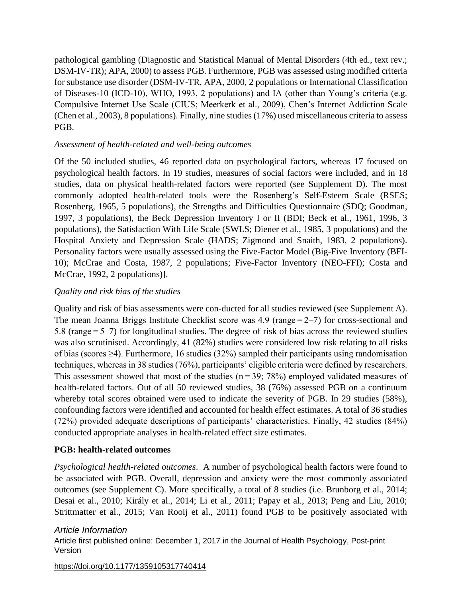pathological gambling (Diagnostic and Statistical Manual of Mental Disorders (4th ed., text rev.; DSM-IV-TR); APA, 2000) to assess PGB. Furthermore, PGB was assessed using modified criteria for substance use disorder (DSM-IV-TR, APA, 2000, 2 populations or International Classification of Diseases-10 (ICD-10), WHO, 1993, 2 populations) and IA (other than Young's criteria (e.g. Compulsive Internet Use Scale (CIUS; Meerkerk et al., 2009), Chen's Internet Addiction Scale (Chen et al., 2003), 8 populations). Finally, nine studies (17%) used miscellaneous criteria to assess PGB.

### *Assessment of health-related and well-being outcomes*

Of the 50 included studies, 46 reported data on psychological factors, whereas 17 focused on psychological health factors. In 19 studies, measures of social factors were included, and in 18 studies, data on physical health-related factors were reported (see Supplement D). The most commonly adopted health-related tools were the Rosenberg's Self-Esteem Scale (RSES; Rosenberg, 1965, 5 populations), the Strengths and Difficulties Questionnaire (SDQ; Goodman, 1997, 3 populations), the Beck Depression Inventory I or II (BDI; Beck et al., 1961, 1996, 3 populations), the Satisfaction With Life Scale (SWLS; Diener et al., 1985, 3 populations) and the Hospital Anxiety and Depression Scale (HADS; Zigmond and Snaith, 1983, 2 populations). Personality factors were usually assessed using the Five-Factor Model (Big-Five Inventory (BFI-10); McCrae and Costa, 1987, 2 populations; Five-Factor Inventory (NEO-FFI); Costa and McCrae, 1992, 2 populations)].

### *Quality and risk bias of the studies*

Quality and risk of bias assessments were con-ducted for all studies reviewed (see Supplement A). The mean Joanna Briggs Institute Checklist score was 4.9 (range $= 2 - 7$ ) for cross-sectional and 5.8 (range $=$  5–7) for longitudinal studies. The degree of risk of bias across the reviewed studies was also scrutinised. Accordingly, 41 (82%) studies were considered low risk relating to all risks of bias (scores ≥4). Furthermore, 16 studies (32%) sampled their participants using randomisation techniques, whereas in 38 studies (76%), participants' eligible criteria were defined by researchers. This assessment showed that most of the studies ( $n = 39$ ; 78%) employed validated measures of health-related factors. Out of all 50 reviewed studies, 38 (76%) assessed PGB on a continuum whereby total scores obtained were used to indicate the severity of PGB. In 29 studies (58%), confounding factors were identified and accounted for health effect estimates. A total of 36 studies (72%) provided adequate descriptions of participants' characteristics. Finally, 42 studies (84%) conducted appropriate analyses in health-related effect size estimates.

### **PGB: health-related outcomes**

*Psychological health-related outcomes*. A number of psychological health factors were found to be associated with PGB. Overall, depression and anxiety were the most commonly associated outcomes (see Supplement C). More specifically, a total of 8 studies (i.e. Brunborg et al., 2014; Desai et al., 2010; Király et al., 2014; Li et al., 2011; Papay et al., 2013; Peng and Liu, 2010; Strittmatter et al., 2015; Van Rooij et al., 2011) found PGB to be positively associated with

#### *Article Information*

Article first published online: December 1, 2017 in the Journal of Health Psychology, Post-print Version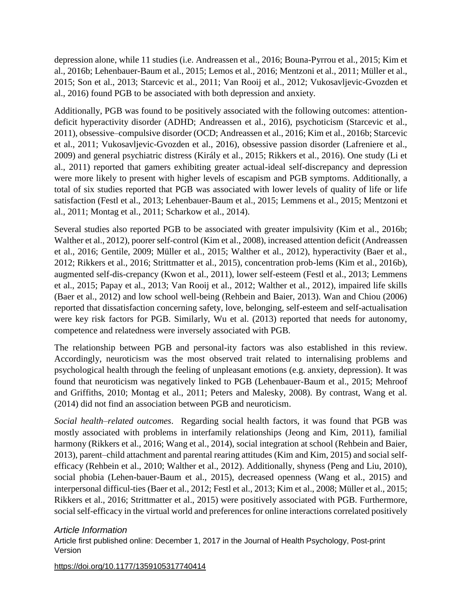depression alone, while 11 studies (i.e. Andreassen et al., 2016; Bouna-Pyrrou et al., 2015; Kim et al., 2016b; Lehenbauer-Baum et al., 2015; Lemos et al., 2016; Mentzoni et al., 2011; Müller et al., 2015; Son et al., 2013; Starcevic et al., 2011; Van Rooij et al., 2012; Vukosavljevic-Gvozden et al., 2016) found PGB to be associated with both depression and anxiety.

Additionally, PGB was found to be positively associated with the following outcomes: attentiondeficit hyperactivity disorder (ADHD; Andreassen et al., 2016), psychoticism (Starcevic et al., 2011), obsessive–compulsive disorder (OCD; Andreassen et al., 2016; Kim et al., 2016b; Starcevic et al., 2011; Vukosavljevic-Gvozden et al., 2016), obsessive passion disorder (Lafreniere et al., 2009) and general psychiatric distress (Király et al., 2015; Rikkers et al., 2016). One study (Li et al., 2011) reported that gamers exhibiting greater actual-ideal self-discrepancy and depression were more likely to present with higher levels of escapism and PGB symptoms. Additionally, a total of six studies reported that PGB was associated with lower levels of quality of life or life satisfaction (Festl et al., 2013; Lehenbauer-Baum et al., 2015; Lemmens et al., 2015; Mentzoni et al., 2011; Montag et al., 2011; Scharkow et al., 2014).

Several studies also reported PGB to be associated with greater impulsivity (Kim et al., 2016b; Walther et al., 2012), poorer self-control (Kim et al., 2008), increased attention deficit (Andreassen et al., 2016; Gentile, 2009; Müller et al., 2015; Walther et al., 2012), hyperactivity (Baer et al., 2012; Rikkers et al., 2016; Strittmatter et al., 2015), concentration prob-lems (Kim et al., 2016b), augmented self-dis-crepancy (Kwon et al., 2011), lower self-esteem (Festl et al., 2013; Lemmens et al., 2015; Papay et al., 2013; Van Rooij et al., 2012; Walther et al., 2012), impaired life skills (Baer et al., 2012) and low school well-being (Rehbein and Baier, 2013). Wan and Chiou (2006) reported that dissatisfaction concerning safety, love, belonging, self-esteem and self-actualisation were key risk factors for PGB. Similarly, Wu et al. (2013) reported that needs for autonomy, competence and relatedness were inversely associated with PGB.

The relationship between PGB and personal-ity factors was also established in this review. Accordingly, neuroticism was the most observed trait related to internalising problems and psychological health through the feeling of unpleasant emotions (e.g. anxiety, depression). It was found that neuroticism was negatively linked to PGB (Lehenbauer-Baum et al., 2015; Mehroof and Griffiths, 2010; Montag et al., 2011; Peters and Malesky, 2008). By contrast, Wang et al. (2014) did not find an association between PGB and neuroticism.

*Social health–related outcomes*. Regarding social health factors, it was found that PGB was mostly associated with problems in interfamily relationships (Jeong and Kim, 2011), familial harmony (Rikkers et al., 2016; Wang et al., 2014), social integration at school (Rehbein and Baier, 2013), parent–child attachment and parental rearing attitudes (Kim and Kim, 2015) and social selfefficacy (Rehbein et al., 2010; Walther et al., 2012). Additionally, shyness (Peng and Liu, 2010), social phobia (Lehen-bauer-Baum et al., 2015), decreased openness (Wang et al., 2015) and interpersonal difficul-ties (Baer et al., 2012; Festl et al., 2013; Kim et al., 2008; Müller et al., 2015; Rikkers et al., 2016; Strittmatter et al., 2015) were positively associated with PGB. Furthermore, social self-efficacy in the virtual world and preferences for online interactions correlated positively

### *Article Information*

Article first published online: December 1, 2017 in the Journal of Health Psychology, Post-print Version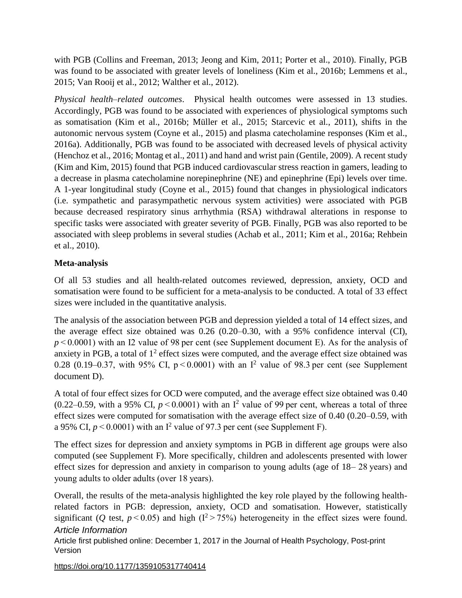with PGB (Collins and Freeman, 2013; Jeong and Kim, 2011; Porter et al., 2010). Finally, PGB was found to be associated with greater levels of loneliness (Kim et al., 2016b; Lemmens et al., 2015; Van Rooij et al., 2012; Walther et al., 2012).

*Physical health–related outcomes*. Physical health outcomes were assessed in 13 studies. Accordingly, PGB was found to be associated with experiences of physiological symptoms such as somatisation (Kim et al., 2016b; Müller et al., 2015; Starcevic et al., 2011), shifts in the autonomic nervous system (Coyne et al., 2015) and plasma catecholamine responses (Kim et al., 2016a). Additionally, PGB was found to be associated with decreased levels of physical activity (Henchoz et al., 2016; Montag et al., 2011) and hand and wrist pain (Gentile, 2009). A recent study (Kim and Kim, 2015) found that PGB induced cardiovascular stress reaction in gamers, leading to a decrease in plasma catecholamine norepinephrine (NE) and epinephrine (Epi) levels over time. A 1-year longitudinal study (Coyne et al., 2015) found that changes in physiological indicators (i.e. sympathetic and parasympathetic nervous system activities) were associated with PGB because decreased respiratory sinus arrhythmia (RSA) withdrawal alterations in response to specific tasks were associated with greater severity of PGB. Finally, PGB was also reported to be associated with sleep problems in several studies (Achab et al., 2011; Kim et al., 2016a; Rehbein et al., 2010).

### **Meta-analysis**

Of all 53 studies and all health-related outcomes reviewed, depression, anxiety, OCD and somatisation were found to be sufficient for a meta-analysis to be conducted. A total of 33 effect sizes were included in the quantitative analysis.

The analysis of the association between PGB and depression yielded a total of 14 effect sizes, and the average effect size obtained was 0.26 (0.20–0.30, with a 95% confidence interval (CI), *p* < 0.0001) with an I2 value of 98 per cent (see Supplement document E). As for the analysis of anxiety in PGB, a total of  $1<sup>2</sup>$  effect sizes were computed, and the average effect size obtained was 0.28 (0.19–0.37, with 95% CI,  $p < 0.0001$ ) with an I<sup>2</sup> value of 98.3 per cent (see Supplement document D).

A total of four effect sizes for OCD were computed, and the average effect size obtained was 0.40  $(0.22-0.59$ , with a 95% CI,  $p < 0.0001$ ) with an I<sup>2</sup> value of 99 per cent, whereas a total of three effect sizes were computed for somatisation with the average effect size of 0.40 (0.20–0.59, with a 95% CI,  $p < 0.0001$ ) with an I<sup>2</sup> value of 97.3 per cent (see Supplement F).

The effect sizes for depression and anxiety symptoms in PGB in different age groups were also computed (see Supplement F). More specifically, children and adolescents presented with lower effect sizes for depression and anxiety in comparison to young adults (age of 18– 28 years) and young adults to older adults (over 18 years).

*Article Information* Overall, the results of the meta-analysis highlighted the key role played by the following healthrelated factors in PGB: depression, anxiety, OCD and somatisation. However, statistically significant (*Q* test,  $p < 0.05$ ) and high ( $I^2 > 75\%$ ) heterogeneity in the effect sizes were found.

Article first published online: December 1, 2017 in the Journal of Health Psychology, Post-print Version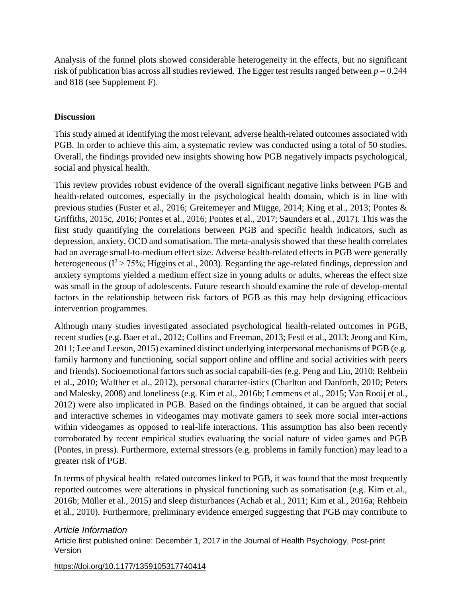Analysis of the funnel plots showed considerable heterogeneity in the effects, but no significant risk of publication bias across all studies reviewed. The Egger test results ranged between  $p = 0.244$ and 818 (see Supplement F).

### **Discussion**

This study aimed at identifying the most relevant, adverse health-related outcomes associated with PGB. In order to achieve this aim, a systematic review was conducted using a total of 50 studies. Overall, the findings provided new insights showing how PGB negatively impacts psychological, social and physical health.

This review provides robust evidence of the overall significant negative links between PGB and health-related outcomes, especially in the psychological health domain, which is in line with previous studies (Fuster et al., 2016; Greitemeyer and Mügge, 2014; King et al., 2013; Pontes & Griffiths, 2015c, 2016; Pontes et al., 2016; Pontes et al., 2017; Saunders et al., 2017). This was the first study quantifying the correlations between PGB and specific health indicators, such as depression, anxiety, OCD and somatisation. The meta-analysis showed that these health correlates had an average small-to-medium effect size. Adverse health-related effects in PGB were generally heterogeneous ( $I^2 > 75\%$ ; Higgins et al., 2003). Regarding the age-related findings, depression and anxiety symptoms yielded a medium effect size in young adults or adults, whereas the effect size was small in the group of adolescents. Future research should examine the role of develop-mental factors in the relationship between risk factors of PGB as this may help designing efficacious intervention programmes.

Although many studies investigated associated psychological health-related outcomes in PGB, recent studies (e.g. Baer et al., 2012; Collins and Freeman, 2013; Festl et al., 2013; Jeong and Kim, 2011; Lee and Leeson, 2015) examined distinct underlying interpersonal mechanisms of PGB (e.g. family harmony and functioning, social support online and offline and social activities with peers and friends). Socioemotional factors such as social capabili-ties (e.g. Peng and Liu, 2010; Rehbein et al., 2010; Walther et al., 2012), personal character-istics (Charlton and Danforth, 2010; Peters and Malesky, 2008) and loneliness (e.g. Kim et al., 2016b; Lemmens et al., 2015; Van Rooij et al., 2012) were also implicated in PGB. Based on the findings obtained, it can be argued that social and interactive schemes in videogames may motivate gamers to seek more social inter-actions within videogames as opposed to real-life interactions. This assumption has also been recently corroborated by recent empirical studies evaluating the social nature of video games and PGB (Pontes, in press). Furthermore, external stressors (e.g. problems in family function) may lead to a greater risk of PGB.

In terms of physical health–related outcomes linked to PGB, it was found that the most frequently reported outcomes were alterations in physical functioning such as somatisation (e.g. Kim et al., 2016b; Müller et al., 2015) and sleep disturbances (Achab et al., 2011; Kim et al., 2016a; Rehbein et al., 2010). Furthermore, preliminary evidence emerged suggesting that PGB may contribute to

### *Article Information*

Article first published online: December 1, 2017 in the Journal of Health Psychology, Post-print Version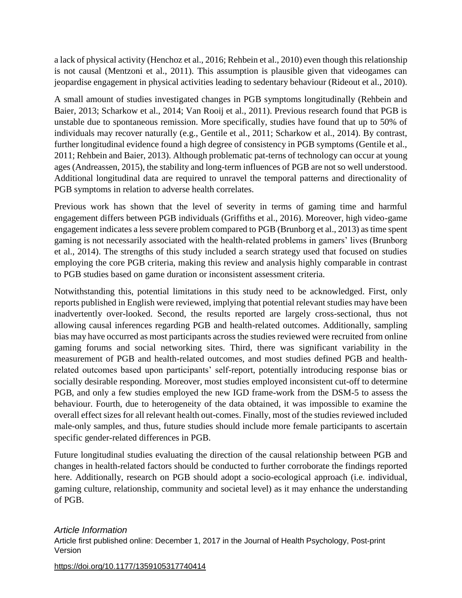a lack of physical activity (Henchoz et al., 2016; Rehbein et al., 2010) even though this relationship is not causal (Mentzoni et al., 2011). This assumption is plausible given that videogames can jeopardise engagement in physical activities leading to sedentary behaviour (Rideout et al., 2010).

A small amount of studies investigated changes in PGB symptoms longitudinally (Rehbein and Baier, 2013; Scharkow et al., 2014; Van Rooij et al., 2011). Previous research found that PGB is unstable due to spontaneous remission. More specifically, studies have found that up to 50% of individuals may recover naturally (e.g., Gentile et al., 2011; Scharkow et al., 2014). By contrast, further longitudinal evidence found a high degree of consistency in PGB symptoms (Gentile et al., 2011; Rehbein and Baier, 2013). Although problematic pat-terns of technology can occur at young ages (Andreassen, 2015), the stability and long-term influences of PGB are not so well understood. Additional longitudinal data are required to unravel the temporal patterns and directionality of PGB symptoms in relation to adverse health correlates.

Previous work has shown that the level of severity in terms of gaming time and harmful engagement differs between PGB individuals (Griffiths et al., 2016). Moreover, high video-game engagement indicates a less severe problem compared to PGB (Brunborg et al., 2013) as time spent gaming is not necessarily associated with the health-related problems in gamers' lives (Brunborg et al., 2014). The strengths of this study included a search strategy used that focused on studies employing the core PGB criteria, making this review and analysis highly comparable in contrast to PGB studies based on game duration or inconsistent assessment criteria.

Notwithstanding this, potential limitations in this study need to be acknowledged. First, only reports published in English were reviewed, implying that potential relevant studies may have been inadvertently over-looked. Second, the results reported are largely cross-sectional, thus not allowing causal inferences regarding PGB and health-related outcomes. Additionally, sampling bias may have occurred as most participants across the studies reviewed were recruited from online gaming forums and social networking sites. Third, there was significant variability in the measurement of PGB and health-related outcomes, and most studies defined PGB and healthrelated outcomes based upon participants' self-report, potentially introducing response bias or socially desirable responding. Moreover, most studies employed inconsistent cut-off to determine PGB, and only a few studies employed the new IGD frame-work from the DSM-5 to assess the behaviour. Fourth, due to heterogeneity of the data obtained, it was impossible to examine the overall effect sizes for all relevant health out-comes. Finally, most of the studies reviewed included male-only samples, and thus, future studies should include more female participants to ascertain specific gender-related differences in PGB.

Future longitudinal studies evaluating the direction of the causal relationship between PGB and changes in health-related factors should be conducted to further corroborate the findings reported here. Additionally, research on PGB should adopt a socio-ecological approach (i.e. individual, gaming culture, relationship, community and societal level) as it may enhance the understanding of PGB.

### *Article Information*

Article first published online: December 1, 2017 in the Journal of Health Psychology, Post-print Version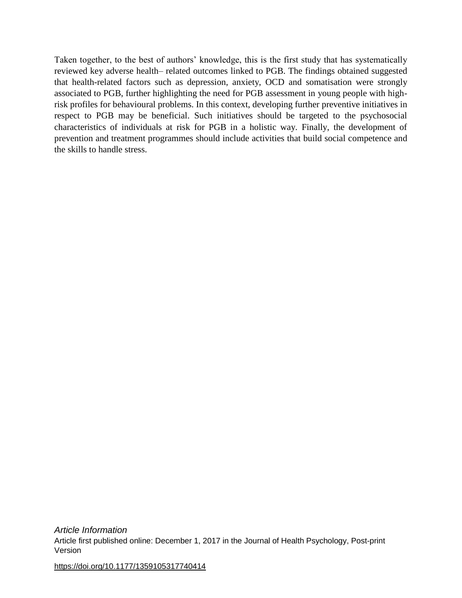Taken together, to the best of authors' knowledge, this is the first study that has systematically reviewed key adverse health– related outcomes linked to PGB. The findings obtained suggested that health-related factors such as depression, anxiety, OCD and somatisation were strongly associated to PGB, further highlighting the need for PGB assessment in young people with highrisk profiles for behavioural problems. In this context, developing further preventive initiatives in respect to PGB may be beneficial. Such initiatives should be targeted to the psychosocial characteristics of individuals at risk for PGB in a holistic way. Finally, the development of prevention and treatment programmes should include activities that build social competence and the skills to handle stress.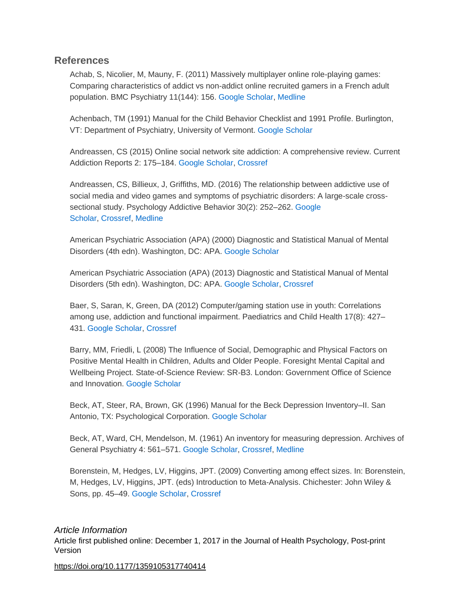### **References**

Achab, S, Nicolier, M, Mauny, F. (2011) Massively multiplayer online role-playing games: Comparing characteristics of addict vs non-addict online recruited gamers in a French adult population. BMC Psychiatry 11(144): 156. [Google Scholar,](http://scholar.google.com/scholar_lookup?hl=en&publication_year=2011&pages=156&issue=144&author=S+Achab&author=M+Nicolier&author=F+Mauny&title=Massively+multiplayer+online+role-playing+games:+Comparing+characteristics+of+addict+vs+non-addict+online+recruited+gamers+in+a+French+adult+population&) [Medline](http://journals.sagepub.com/servlet/linkout?suffix=bibr1-1359105317740414&dbid=8&doi=10.1177%2F1359105317740414&key=21961801)

Achenbach, TM (1991) Manual for the Child Behavior Checklist and 1991 Profile. Burlington, VT: Department of Psychiatry, University of Vermont. [Google Scholar](http://scholar.google.com/scholar_lookup?hl=en&publication_year=1991&issue=144&author=TM+Achenbach&title=Manual+for+the+Child+Behavior+Checklist+and+1991+Profile&)

Andreassen, CS (2015) Online social network site addiction: A comprehensive review. Current Addiction Reports 2: 175–184. [Google Scholar,](http://scholar.google.com/scholar_lookup?hl=en&publication_year=2015&pages=175-184&author=CS+Andreassen&title=Online+social+network+site+addiction:+A+comprehensive+review&) [Crossref](http://journals.sagepub.com/servlet/linkout?suffix=bibr3-1359105317740414&dbid=16&doi=10.1177%2F1359105317740414&key=10.1007%2Fs40429-015-0056-9)

Andreassen, CS, Billieux, J, Griffiths, MD. (2016) The relationship between addictive use of social media and video games and symptoms of psychiatric disorders: A large-scale crosssectional study. Psychology Addictive Behavior 30(2): 252–262. [Google](http://scholar.google.com/scholar_lookup?hl=en&publication_year=2016&pages=252-262&issue=2&author=CS+Andreassen&author=J+Billieux&author=MD+Griffiths&title=The+relationship+between+addictive+use+of+social+media+and+video+games+and+symptoms+of+psychiatric+disorders:+A+large-scale+cross-sectional+study&)  [Scholar,](http://scholar.google.com/scholar_lookup?hl=en&publication_year=2016&pages=252-262&issue=2&author=CS+Andreassen&author=J+Billieux&author=MD+Griffiths&title=The+relationship+between+addictive+use+of+social+media+and+video+games+and+symptoms+of+psychiatric+disorders:+A+large-scale+cross-sectional+study&) [Crossref,](http://journals.sagepub.com/servlet/linkout?suffix=bibr4-1359105317740414&dbid=16&doi=10.1177%2F1359105317740414&key=10.1037%2Fadb0000160) [Medline](http://journals.sagepub.com/servlet/linkout?suffix=bibr4-1359105317740414&dbid=8&doi=10.1177%2F1359105317740414&key=26999354)

American Psychiatric Association (APA) (2000) Diagnostic and Statistical Manual of Mental Disorders (4th edn). Washington, DC: APA. [Google Scholar](http://scholar.google.com/scholar_lookup?hl=en&publication_year=2000&issue=2&title=Diagnostic+and+Statistical+Manual+of+Mental+Disorders&)

American Psychiatric Association (APA) (2013) Diagnostic and Statistical Manual of Mental Disorders (5th edn). Washington, DC: APA. [Google Scholar,](http://scholar.google.com/scholar_lookup?hl=en&publication_year=2013&issue=2&title=Diagnostic+and+Statistical+Manual+of+Mental+Disorders&) [Crossref](http://journals.sagepub.com/servlet/linkout?suffix=bibr6-1359105317740414&dbid=16&doi=10.1177%2F1359105317740414&key=10.1176%2Fappi.books.9780890425596)

Baer, S, Saran, K, Green, DA (2012) Computer/gaming station use in youth: Correlations among use, addiction and functional impairment. Paediatrics and Child Health 17(8): 427– 431. [Google Scholar,](http://scholar.google.com/scholar_lookup?hl=en&publication_year=2012&pages=427-431&issue=8&author=S+Baer&author=K+Saran&author=DA+Green&title=Computer/gaming+station+use+in+youth:+Correlations+among+use,+addiction+and+functional+impairment&) [Crossref](http://journals.sagepub.com/servlet/linkout?suffix=bibr7-1359105317740414&dbid=16&doi=10.1177%2F1359105317740414&key=10.1093%2Fpch%2F17.8.427)

Barry, MM, Friedli, L (2008) The Influence of Social, Demographic and Physical Factors on Positive Mental Health in Children, Adults and Older People. Foresight Mental Capital and Wellbeing Project. State-of-Science Review: SR-B3. London: Government Office of Science and Innovation. [Google Scholar](http://scholar.google.com/scholar_lookup?hl=en&publication_year=2008&issue=8&author=MM+Barry&author=L+Friedli&title=The+Influence+of+Social,+Demographic+and+Physical+Factors+on+Positive+Mental+Health+in+Children,+Adults+and+Older+People&)

Beck, AT, Steer, RA, Brown, GK (1996) Manual for the Beck Depression Inventory–II. San Antonio, TX: Psychological Corporation. [Google Scholar](http://scholar.google.com/scholar_lookup?hl=en&publication_year=1996&issue=8&author=AT+Beck&author=RA+Steer&author=GK+Brown&title=Manual+for+the+Beck+Depression+Inventory%E2%80%93II&)

Beck, AT, Ward, CH, Mendelson, M. (1961) An inventory for measuring depression. Archives of General Psychiatry 4: 561–571. [Google Scholar,](http://scholar.google.com/scholar_lookup?hl=en&publication_year=1961&pages=561-571&author=AT+Beck&author=CH+Ward&author=M+Mendelson&title=An+inventory+for+measuring+depression&) [Crossref,](http://journals.sagepub.com/servlet/linkout?suffix=bibr10-1359105317740414&dbid=16&doi=10.1177%2F1359105317740414&key=10.1001%2Farchpsyc.1961.01710120031004) [Medline](http://journals.sagepub.com/servlet/linkout?suffix=bibr10-1359105317740414&dbid=8&doi=10.1177%2F1359105317740414&key=13688369)

Borenstein, M, Hedges, LV, Higgins, JPT. (2009) Converting among effect sizes. In: Borenstein, M, Hedges, LV, Higgins, JPT. (eds) Introduction to Meta-Analysis. Chichester: John Wiley & Sons, pp. 45–49. [Google Scholar,](http://scholar.google.com/scholar_lookup?hl=en&publication_year=2009&pages=45-49&author=M+Borenstein&author=LV+Hedges&author=JPT+Higgins&title=Introduction+to+Meta-Analysis&) [Crossref](http://journals.sagepub.com/servlet/linkout?suffix=bibr11-1359105317740414&dbid=16&doi=10.1177%2F1359105317740414&key=10.1002%2F9780470743386.ch7)

### *Article Information*

Article first published online: December 1, 2017 in the Journal of Health Psychology, Post-print Version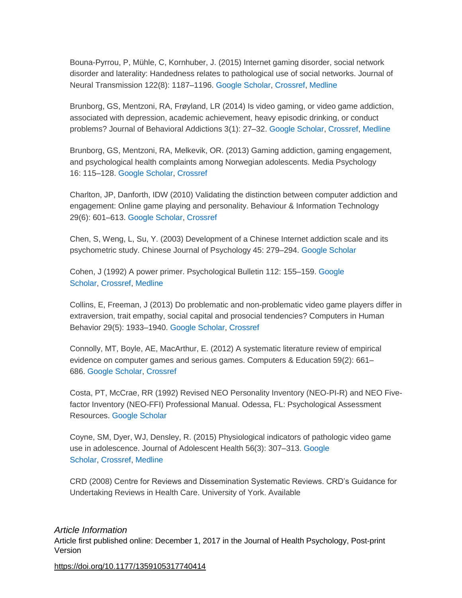Bouna-Pyrrou, P, Mühle, C, Kornhuber, J. (2015) Internet gaming disorder, social network disorder and laterality: Handedness relates to pathological use of social networks. Journal of Neural Transmission 122(8): 1187–1196. [Google Scholar,](http://scholar.google.com/scholar_lookup?hl=en&publication_year=2015&pages=1187-1196&issue=8&author=P+Bouna-Pyrrou&author=C+M%C3%BChle&author=J+Kornhuber&title=Internet+gaming+disorder,+social+network+disorder+and+laterality:+Handedness+relates+to+pathological+use+of+social+networks&) [Crossref,](http://journals.sagepub.com/servlet/linkout?suffix=bibr12-1359105317740414&dbid=16&doi=10.1177%2F1359105317740414&key=10.1007%2Fs00702-014-1361-5) [Medline](http://journals.sagepub.com/servlet/linkout?suffix=bibr12-1359105317740414&dbid=8&doi=10.1177%2F1359105317740414&key=25576300)

Brunborg, GS, Mentzoni, RA, Frøyland, LR (2014) Is video gaming, or video game addiction, associated with depression, academic achievement, heavy episodic drinking, or conduct problems? Journal of Behavioral Addictions 3(1): 27–32. [Google Scholar,](http://scholar.google.com/scholar_lookup?hl=en&publication_year=2014&pages=27-32&issue=1&author=GS+Brunborg&author=RA+Mentzoni&author=LR+Fr%C3%B8yland&title=Is+video+gaming,+or+video+game+addiction,+associated+with+depression,+academic+achievement,+heavy+episodic+drinking,+or+conduct+problems?&) [Crossref,](http://journals.sagepub.com/servlet/linkout?suffix=bibr13-1359105317740414&dbid=16&doi=10.1177%2F1359105317740414&key=10.1556%2FJBA.3.2014.002) [Medline](http://journals.sagepub.com/servlet/linkout?suffix=bibr13-1359105317740414&dbid=8&doi=10.1177%2F1359105317740414&key=25215212)

Brunborg, GS, Mentzoni, RA, Melkevik, OR. (2013) Gaming addiction, gaming engagement, and psychological health complaints among Norwegian adolescents. Media Psychology 16: 115–128. [Google Scholar,](http://scholar.google.com/scholar_lookup?hl=en&publication_year=2013&pages=115-128&author=GS+Brunborg&author=RA+Mentzoni&author=OR+Melkevik&title=Gaming+addiction,+gaming+engagement,+and+psychological+health+complaints+among+Norwegian+adolescents&) [Crossref](http://journals.sagepub.com/servlet/linkout?suffix=bibr14-1359105317740414&dbid=16&doi=10.1177%2F1359105317740414&key=10.1080%2F15213269.2012.756374)

Charlton, JP, Danforth, IDW (2010) Validating the distinction between computer addiction and engagement: Online game playing and personality. Behaviour & Information Technology 29(6): 601–613. [Google Scholar,](http://scholar.google.com/scholar_lookup?hl=en&publication_year=2010&pages=601-613&issue=6&author=JP+Charlton&author=IDW+Danforth&title=Validating+the+distinction+between+computer+addiction+and+engagement:+Online+game+playing+and+personality&) [Crossref](http://journals.sagepub.com/servlet/linkout?suffix=bibr15-1359105317740414&dbid=16&doi=10.1177%2F1359105317740414&key=10.1080%2F01449290903401978)

Chen, S, Weng, L, Su, Y. (2003) Development of a Chinese Internet addiction scale and its psychometric study. Chinese Journal of Psychology 45: 279–294. [Google Scholar](http://scholar.google.com/scholar_lookup?hl=en&publication_year=2003&pages=279-294&author=S+Chen&author=L+Weng&author=Y+Su&title=Development+of+a+Chinese+Internet+addiction+scale+and+its+psychometric+study&)

Cohen, J (1992) A power primer. Psychological Bulletin 112: 155–159. [Google](http://scholar.google.com/scholar_lookup?hl=en&publication_year=1992&pages=155-159&author=J+Cohen&title=A+power+primer&)  [Scholar,](http://scholar.google.com/scholar_lookup?hl=en&publication_year=1992&pages=155-159&author=J+Cohen&title=A+power+primer&) [Crossref,](http://journals.sagepub.com/servlet/linkout?suffix=bibr17-1359105317740414&dbid=16&doi=10.1177%2F1359105317740414&key=10.1037%2F0033-2909.112.1.155) [Medline](http://journals.sagepub.com/servlet/linkout?suffix=bibr17-1359105317740414&dbid=8&doi=10.1177%2F1359105317740414&key=19565683)

Collins, E, Freeman, J (2013) Do problematic and non-problematic video game players differ in extraversion, trait empathy, social capital and prosocial tendencies? Computers in Human Behavior 29(5): 1933–1940. [Google Scholar,](http://scholar.google.com/scholar_lookup?hl=en&publication_year=2013&pages=1933-1940&issue=5&author=E+Collins&author=J+Freeman&title=Do+problematic+and+non-problematic+video+game+players+differ+in+extraversion,+trait+empathy,+social+capital+and+prosocial+tendencies?&) [Crossref](http://journals.sagepub.com/servlet/linkout?suffix=bibr18-1359105317740414&dbid=16&doi=10.1177%2F1359105317740414&key=10.1016%2Fj.chb.2013.03.002)

Connolly, MT, Boyle, AE, MacArthur, E. (2012) A systematic literature review of empirical evidence on computer games and serious games. Computers & Education 59(2): 661– 686. [Google Scholar,](http://scholar.google.com/scholar_lookup?hl=en&publication_year=2012&pages=661-686&issue=2&author=MT+Connolly&author=AE+Boyle&author=E+MacArthur&title=A+systematic+literature+review+of+empirical+evidence+on+computer+games+and+serious+games&) [Crossref](http://journals.sagepub.com/servlet/linkout?suffix=bibr19-1359105317740414&dbid=16&doi=10.1177%2F1359105317740414&key=10.1016%2Fj.compedu.2012.03.004)

Costa, PT, McCrae, RR (1992) Revised NEO Personality Inventory (NEO-PI-R) and NEO Fivefactor Inventory (NEO-FFI) Professional Manual. Odessa, FL: Psychological Assessment Resources. [Google Scholar](http://scholar.google.com/scholar_lookup?hl=en&publication_year=1992&issue=2&author=PT+Costa&author=RR+McCrae&title=Revised+NEO+Personality+Inventory+(NEO-PI-R)+and+NEO+Five-factor+Inventory+(NEO-FFI)+Professional+Manual&)

Coyne, SM, Dyer, WJ, Densley, R. (2015) Physiological indicators of pathologic video game use in adolescence. Journal of Adolescent Health 56(3): 307–313. [Google](http://scholar.google.com/scholar_lookup?hl=en&publication_year=2015&pages=307-313&issue=3&author=SM+Coyne&author=WJ+Dyer&author=R+Densley&title=Physiological+indicators+of+pathologic+video+game+use+in+adolescence&)  [Scholar,](http://scholar.google.com/scholar_lookup?hl=en&publication_year=2015&pages=307-313&issue=3&author=SM+Coyne&author=WJ+Dyer&author=R+Densley&title=Physiological+indicators+of+pathologic+video+game+use+in+adolescence&) [Crossref,](http://journals.sagepub.com/servlet/linkout?suffix=bibr21-1359105317740414&dbid=16&doi=10.1177%2F1359105317740414&key=10.1016%2Fj.jadohealth.2014.10.271) [Medline](http://journals.sagepub.com/servlet/linkout?suffix=bibr21-1359105317740414&dbid=8&doi=10.1177%2F1359105317740414&key=25586229)

CRD (2008) Centre for Reviews and Dissemination Systematic Reviews. CRD's Guidance for Undertaking Reviews in Health Care. University of York. Available

### *Article Information*

Article first published online: December 1, 2017 in the Journal of Health Psychology, Post-print Version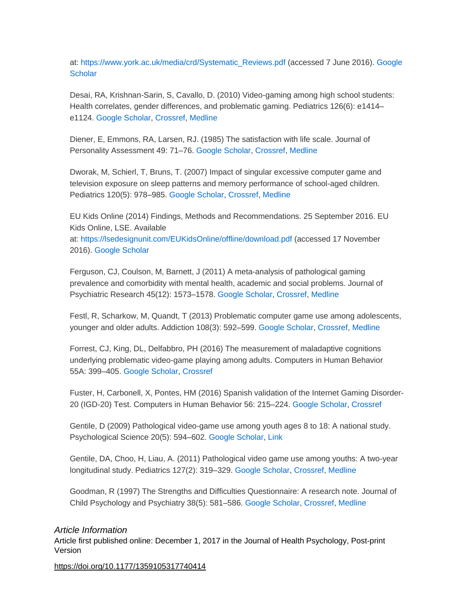at: [https://www.york.ac.uk/media/crd/Systematic\\_Reviews.pdf](https://www.york.ac.uk/media/crd/Systematic_Reviews.pdf) (accessed 7 June 2016). [Google](http://scholar.google.com/scholar_lookup?hl=en&publication_year=2008&pages=307-313&issue=3&title=Centre+for+Reviews+and+Dissemination+Systematic+Reviews.+CRD%E2%80%99s+Guidance+for+Undertaking+Reviews+in+Health+Care&)  **[Scholar](http://scholar.google.com/scholar_lookup?hl=en&publication_year=2008&pages=307-313&issue=3&title=Centre+for+Reviews+and+Dissemination+Systematic+Reviews.+CRD%E2%80%99s+Guidance+for+Undertaking+Reviews+in+Health+Care&)** 

Desai, RA, Krishnan-Sarin, S, Cavallo, D. (2010) Video-gaming among high school students: Health correlates, gender differences, and problematic gaming. Pediatrics 126(6): e1414– e1124. [Google Scholar,](http://scholar.google.com/scholar_lookup?hl=en&publication_year=2010&pages=e1414-e1124&issue=6&author=RA+Desai&author=S+Krishnan-Sarin&author=D+Cavallo&title=Video-gaming+among+high+school+students:+Health+correlates,+gender+differences,+and+problematic+gaming&) [Crossref,](http://journals.sagepub.com/servlet/linkout?suffix=bibr23-1359105317740414&dbid=16&doi=10.1177%2F1359105317740414&key=10.1542%2Fpeds.2009-2706) [Medline](http://journals.sagepub.com/servlet/linkout?suffix=bibr23-1359105317740414&dbid=8&doi=10.1177%2F1359105317740414&key=21078729)

Diener, E, Emmons, RA, Larsen, RJ. (1985) The satisfaction with life scale. Journal of Personality Assessment 49: 71–76. [Google Scholar,](http://scholar.google.com/scholar_lookup?hl=en&publication_year=1985&pages=71-76&author=E+Diener&author=RA+Emmons&author=RJ+Larsen&title=The+satisfaction+with+life+scale&) [Crossref,](http://journals.sagepub.com/servlet/linkout?suffix=bibr24-1359105317740414&dbid=16&doi=10.1177%2F1359105317740414&key=10.1207%2Fs15327752jpa4901_13) [Medline](http://journals.sagepub.com/servlet/linkout?suffix=bibr24-1359105317740414&dbid=8&doi=10.1177%2F1359105317740414&key=16367493)

Dworak, M, Schierl, T, Bruns, T. (2007) Impact of singular excessive computer game and television exposure on sleep patterns and memory performance of school-aged children. Pediatrics 120(5): 978–985. [Google Scholar,](http://scholar.google.com/scholar_lookup?hl=en&publication_year=2007&pages=978-985&issue=5&author=M+Dworak&author=T+Schierl&author=T+Bruns&title=Impact+of+singular+excessive+computer+game+and+television+exposure+on+sleep+patterns+and+memory+performance+of+school-aged+children&) [Crossref,](http://journals.sagepub.com/servlet/linkout?suffix=bibr25-1359105317740414&dbid=16&doi=10.1177%2F1359105317740414&key=10.1542%2Fpeds.2007-0476) [Medline](http://journals.sagepub.com/servlet/linkout?suffix=bibr25-1359105317740414&dbid=8&doi=10.1177%2F1359105317740414&key=17974734)

EU Kids Online (2014) Findings, Methods and Recommendations. 25 September 2016. EU Kids Online, LSE. Available at: <https://lsedesignunit.com/EUKidsOnline/offline/download.pdf> (accessed 17 November 2016). [Google Scholar](http://scholar.google.com/scholar_lookup?hl=en&publication_year=2014&pages=978-985&issue=5&title=Findings,+Methods+and+Recommendations&)

Ferguson, CJ, Coulson, M, Barnett, J (2011) A meta-analysis of pathological gaming prevalence and comorbidity with mental health, academic and social problems. Journal of Psychiatric Research 45(12): 1573–1578. [Google Scholar,](http://scholar.google.com/scholar_lookup?hl=en&publication_year=2011&pages=1573-1578&issue=12&author=CJ+Ferguson&author=M+Coulson&author=J+Barnett&title=A+meta-analysis+of+pathological+gaming+prevalence+and+comorbidity+with+mental+health,+academic+and+social+problems&) [Crossref,](http://journals.sagepub.com/servlet/linkout?suffix=bibr27-1359105317740414&dbid=16&doi=10.1177%2F1359105317740414&key=10.1016%2Fj.jpsychires.2011.09.005) [Medline](http://journals.sagepub.com/servlet/linkout?suffix=bibr27-1359105317740414&dbid=8&doi=10.1177%2F1359105317740414&key=21925683)

Festl, R, Scharkow, M, Quandt, T (2013) Problematic computer game use among adolescents, younger and older adults. Addiction 108(3): 592–599. [Google Scholar,](http://scholar.google.com/scholar_lookup?hl=en&publication_year=2013&pages=592-599&issue=3&author=R+Festl&author=M+Scharkow&author=T+Quandt&title=Problematic+computer+game+use+among+adolescents,+younger+and+older+adults&) [Crossref,](http://journals.sagepub.com/servlet/linkout?suffix=bibr28-1359105317740414&dbid=16&doi=10.1177%2F1359105317740414&key=10.1111%2Fadd.12016) [Medline](http://journals.sagepub.com/servlet/linkout?suffix=bibr28-1359105317740414&dbid=8&doi=10.1177%2F1359105317740414&key=23078146)

Forrest, CJ, King, DL, Delfabbro, PH (2016) The measurement of maladaptive cognitions underlying problematic video-game playing among adults. Computers in Human Behavior 55A: 399–405. [Google Scholar,](http://scholar.google.com/scholar_lookup?hl=en&publication_year=2016&pages=399-405&author=CJ+Forrest&author=DL+King&author=PH+Delfabbro&title=The+measurement+of+maladaptive+cognitions+underlying+problematic+video-game+playing+among+adults&) [Crossref](http://journals.sagepub.com/servlet/linkout?suffix=bibr29-1359105317740414&dbid=16&doi=10.1177%2F1359105317740414&key=10.1016%2Fj.chb.2015.09.017)

Fuster, H, Carbonell, X, Pontes, HM (2016) Spanish validation of the Internet Gaming Disorder-20 (IGD-20) Test. Computers in Human Behavior 56: 215–224. [Google Scholar,](http://scholar.google.com/scholar_lookup?hl=en&publication_year=2016&pages=215-224&author=H+Fuster&author=X+Carbonell&author=HM+Pontes&title=Spanish+validation+of+the+Internet+Gaming+Disorder-20+(IGD-20)+Test&) [Crossref](http://journals.sagepub.com/servlet/linkout?suffix=bibr30-1359105317740414&dbid=16&doi=10.1177%2F1359105317740414&key=10.1016%2Fj.chb.2015.11.050)

Gentile, D (2009) Pathological video-game use among youth ages 8 to 18: A national study. Psychological Science 20(5): 594–602. [Google Scholar,](http://scholar.google.com/scholar_lookup?hl=en&publication_year=2009&pages=594-602&issue=5&author=D+Gentile&title=Pathological+video-game+use+among+youth+ages+8+to+18:+A+national+study&) [Link](http://journals.sagepub.com/doi/10.1111/j.1467-9280.2009.02340.x)

Gentile, DA, Choo, H, Liau, A. (2011) Pathological video game use among youths: A two-year longitudinal study. Pediatrics 127(2): 319–329. [Google Scholar,](http://scholar.google.com/scholar_lookup?hl=en&publication_year=2011&pages=319-329&issue=2&author=DA+Gentile&author=H+Choo&author=A+Liau&title=Pathological+video+game+use+among+youths:+A+two-year+longitudinal+study&) [Crossref,](http://journals.sagepub.com/servlet/linkout?suffix=bibr32-1359105317740414&dbid=16&doi=10.1177%2F1359105317740414&key=10.1542%2Fpeds.2010-1353) [Medline](http://journals.sagepub.com/servlet/linkout?suffix=bibr32-1359105317740414&dbid=8&doi=10.1177%2F1359105317740414&key=21242221)

Goodman, R (1997) The Strengths and Difficulties Questionnaire: A research note. Journal of Child Psychology and Psychiatry 38(5): 581–586. [Google Scholar,](http://scholar.google.com/scholar_lookup?hl=en&publication_year=1997&pages=581-586&issue=5&author=R+Goodman&title=The+Strengths+and+Difficulties+Questionnaire:+A+research+note&) [Crossref,](http://journals.sagepub.com/servlet/linkout?suffix=bibr33-1359105317740414&dbid=16&doi=10.1177%2F1359105317740414&key=10.1111%2Fj.1469-7610.1997.tb01545.x) [Medline](http://journals.sagepub.com/servlet/linkout?suffix=bibr33-1359105317740414&dbid=8&doi=10.1177%2F1359105317740414&key=9255702)

#### *Article Information*

Article first published online: December 1, 2017 in the Journal of Health Psychology, Post-print Version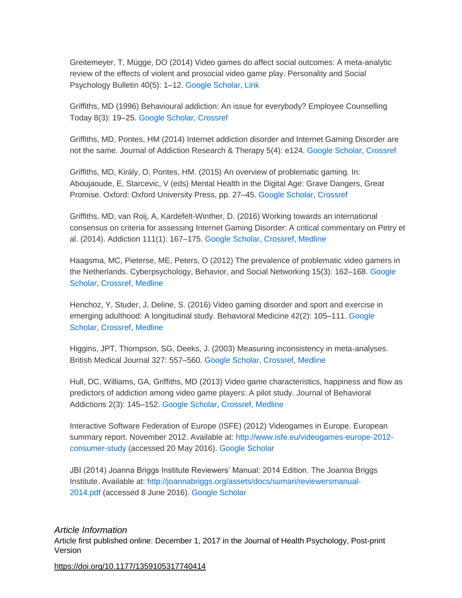Greitemeyer, T, Mügge, DO (2014) Video games do affect social outcomes: A meta-analytic review of the effects of violent and prosocial video game play. Personality and Social Psychology Bulletin 40(5): 1–12. [Google Scholar,](http://scholar.google.com/scholar_lookup?hl=en&publication_year=2014&pages=1-12&issue=5&author=T+Greitemeyer&author=DO+M%C3%BCgge&title=Video+games+do+affect+social+outcomes:+A+meta-analytic+review+of+the+effects+of+violent+and+prosocial+video+game+play&) [Link](http://journals.sagepub.com/doi/10.1177/0146167213520459)

Griffiths, MD (1996) Behavioural addiction: An issue for everybody? Employee Counselling Today 8(3): 19–25. [Google Scholar,](http://scholar.google.com/scholar_lookup?hl=en&publication_year=1996&pages=19-25&issue=3&author=MD+Griffiths&title=Behavioural+addiction:+An+issue+for+everybody?&) [Crossref](http://journals.sagepub.com/servlet/linkout?suffix=bibr35-1359105317740414&dbid=16&doi=10.1177%2F1359105317740414&key=10.1108%2F13665629610116872)

Griffiths, MD, Pontes, HM (2014) Internet addiction disorder and Internet Gaming Disorder are not the same. Journal of Addiction Research & Therapy 5(4): e124. [Google Scholar,](http://scholar.google.com/scholar_lookup?hl=en&publication_year=2014&pages=e124&issue=4&author=MD+Griffiths&author=HM+Pontes&title=Internet+addiction+disorder+and+Internet+Gaming+Disorder+are+not+the+same&) [Crossref](http://journals.sagepub.com/servlet/linkout?suffix=bibr36-1359105317740414&dbid=16&doi=10.1177%2F1359105317740414&key=10.4172%2F2155-6105.1000e124)

Griffiths, MD, Király, O, Pontes, HM. (2015) An overview of problematic gaming. In: Aboujaoude, E, Starcevic, V (eds) Mental Health in the Digital Age: Grave Dangers, Great Promise. Oxford: Oxford University Press, pp. 27–45. [Google Scholar,](http://scholar.google.com/scholar_lookup?hl=en&publication_year=2015&pages=27-45&issue=4&author=MD+Griffiths&author=O+Kir%C3%A1ly&author=HM+Pontes&title=Mental+Health+in+the+Digital+Age:+Grave+Dangers,+Great+Promise&) [Crossref](http://journals.sagepub.com/servlet/linkout?suffix=bibr37-1359105317740414&dbid=16&doi=10.1177%2F1359105317740414&key=10.1093%2Fmed%2F9780199380183.003.0002)

Griffiths, MD, van Roij, A, Kardefelt-Winther, D. (2016) Working towards an international consensus on criteria for assessing Internet Gaming Disorder: A critical commentary on Petry et al. (2014). Addiction 111(1): 167–175. [Google Scholar,](http://scholar.google.com/scholar_lookup?hl=en&publication_year=2016&pages=167-175&issue=1&author=MD+Griffiths&author=A+van+Roij&author=D+Kardefelt-Winther&title=Working+towards+an+international+consensus+on+criteria+for+assessing+Internet+Gaming+Disorder:+A+critical+commentary+on+Petry+et+al.+(2014)&) [Crossref,](http://journals.sagepub.com/servlet/linkout?suffix=bibr38-1359105317740414&dbid=16&doi=10.1177%2F1359105317740414&key=10.1111%2Fadd.13057) [Medline](http://journals.sagepub.com/servlet/linkout?suffix=bibr38-1359105317740414&dbid=8&doi=10.1177%2F1359105317740414&key=26669530)

Haagsma, MC, Pieterse, ME, Peters, O (2012) The prevalence of problematic video gamers in the Netherlands. Cyberpsychology, Behavior, and Social Networking 15(3): 162–168. [Google](http://scholar.google.com/scholar_lookup?hl=en&publication_year=2012&pages=162-168&issue=3&author=MC+Haagsma&author=ME+Pieterse&author=O+Peters&title=The+prevalence+of+problematic+video+gamers+in+the+Netherlands&)  [Scholar,](http://scholar.google.com/scholar_lookup?hl=en&publication_year=2012&pages=162-168&issue=3&author=MC+Haagsma&author=ME+Pieterse&author=O+Peters&title=The+prevalence+of+problematic+video+gamers+in+the+Netherlands&) [Crossref,](http://journals.sagepub.com/servlet/linkout?suffix=bibr39-1359105317740414&dbid=16&doi=10.1177%2F1359105317740414&key=10.1089%2Fcyber.2011.0248) [Medline](http://journals.sagepub.com/servlet/linkout?suffix=bibr39-1359105317740414&dbid=8&doi=10.1177%2F1359105317740414&key=22313358)

Henchoz, Y, Studer, J, Deline, S. (2016) Video gaming disorder and sport and exercise in emerging adulthood: A longitudinal study. Behavioral Medicine 42(2): 105–111. [Google](http://scholar.google.com/scholar_lookup?hl=en&publication_year=2016&pages=105-111&issue=2&author=Y+Henchoz&author=J+Studer&author=S+Deline&title=Video+gaming+disorder+and+sport+and+exercise+in+emerging+adulthood:+A+longitudinal+study&)  [Scholar,](http://scholar.google.com/scholar_lookup?hl=en&publication_year=2016&pages=105-111&issue=2&author=Y+Henchoz&author=J+Studer&author=S+Deline&title=Video+gaming+disorder+and+sport+and+exercise+in+emerging+adulthood:+A+longitudinal+study&) [Crossref,](http://journals.sagepub.com/servlet/linkout?suffix=bibr40-1359105317740414&dbid=16&doi=10.1177%2F1359105317740414&key=10.1080%2F08964289.2014.965127) [Medline](http://journals.sagepub.com/servlet/linkout?suffix=bibr40-1359105317740414&dbid=8&doi=10.1177%2F1359105317740414&key=25258243)

Higgins, JPT, Thompson, SG, Deeks, J. (2003) Measuring inconsistency in meta-analyses. British Medical Journal 327: 557–560. [Google Scholar,](http://scholar.google.com/scholar_lookup?hl=en&publication_year=2003&pages=557-560&author=JPT+Higgins&author=SG+Thompson&author=J+Deeks&title=Measuring+inconsistency+in+meta-analyses&) [Crossref,](http://journals.sagepub.com/servlet/linkout?suffix=bibr41-1359105317740414&dbid=16&doi=10.1177%2F1359105317740414&key=10.1136%2Fbmj.327.7414.557) [Medline](http://journals.sagepub.com/servlet/linkout?suffix=bibr41-1359105317740414&dbid=8&doi=10.1177%2F1359105317740414&key=12958120)

Hull, DC, Williams, GA, Griffiths, MD (2013) Video game characteristics, happiness and flow as predictors of addiction among video game players: A pilot study. Journal of Behavioral Addictions 2(3): 145–152. [Google Scholar,](http://scholar.google.com/scholar_lookup?hl=en&publication_year=2013&pages=145-152&issue=3&author=DC+Hull&author=GA+Williams&author=MD+Griffiths&title=Video+game+characteristics,+happiness+and+flow+as+predictors+of+addiction+among+video+game+players:+A+pilot+study&) [Crossref,](http://journals.sagepub.com/servlet/linkout?suffix=bibr42-1359105317740414&dbid=16&doi=10.1177%2F1359105317740414&key=10.1556%2FJBA.2.2013.005) [Medline](http://journals.sagepub.com/servlet/linkout?suffix=bibr42-1359105317740414&dbid=8&doi=10.1177%2F1359105317740414&key=25215196)

Interactive Software Federation of Europe (ISFE) (2012) Videogames in Europe. European summary report. November 2012. Available at: [http://www.isfe.eu/videogames-europe-2012](http://www.isfe.eu/videogames-europe-2012-consumer-study) [consumer-study](http://www.isfe.eu/videogames-europe-2012-consumer-study) (accessed 20 May 2016). [Google Scholar](http://scholar.google.com/scholar_lookup?hl=en&publication_year=2012&pages=145-152&issue=3&title=Videogames+in+Europe.+European+summary+report&)

JBI (2014) Joanna Briggs Institute Reviewers' Manual: 2014 Edition. The Joanna Briggs Institute. Available at: [http://joannabriggs.org/assets/docs/sumari/reviewersmanual-](http://joannabriggs.org/assets/docs/sumari/reviewersmanual-2014.pdf)[2014.pdf](http://joannabriggs.org/assets/docs/sumari/reviewersmanual-2014.pdf) (accessed 8 June 2016). [Google Scholar](http://scholar.google.com/scholar_lookup?hl=en&publication_year=2014&pages=145-152&issue=3&title=Joanna+Briggs+Institute+Reviewers%E2%80%99+Manual:+2014+Edition&)

#### *Article Information*

Article first published online: December 1, 2017 in the Journal of Health Psychology, Post-print Version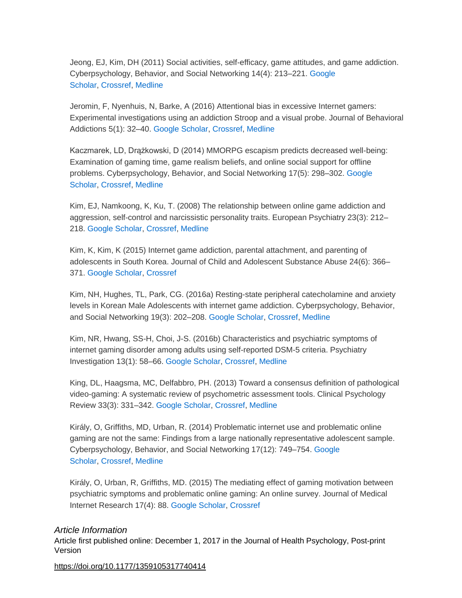Jeong, EJ, Kim, DH (2011) Social activities, self-efficacy, game attitudes, and game addiction. Cyberpsychology, Behavior, and Social Networking 14(4): 213–221. [Google](http://scholar.google.com/scholar_lookup?hl=en&publication_year=2011&pages=213-221&issue=4&author=EJ+Jeong&author=DH+Kim&title=Social+activities,+self-efficacy,+game+attitudes,+and+game+addiction&)  [Scholar,](http://scholar.google.com/scholar_lookup?hl=en&publication_year=2011&pages=213-221&issue=4&author=EJ+Jeong&author=DH+Kim&title=Social+activities,+self-efficacy,+game+attitudes,+and+game+addiction&) [Crossref,](http://journals.sagepub.com/servlet/linkout?suffix=bibr45-1359105317740414&dbid=16&doi=10.1177%2F1359105317740414&key=10.1089%2Fcyber.2009.0289) [Medline](http://journals.sagepub.com/servlet/linkout?suffix=bibr45-1359105317740414&dbid=8&doi=10.1177%2F1359105317740414&key=21067285)

Jeromin, F, Nyenhuis, N, Barke, A (2016) Attentional bias in excessive Internet gamers: Experimental investigations using an addiction Stroop and a visual probe. Journal of Behavioral Addictions 5(1): 32–40. [Google Scholar,](http://scholar.google.com/scholar_lookup?hl=en&publication_year=2016&pages=32-40&issue=1&author=F+Jeromin&author=N+Nyenhuis&author=A+Barke&title=Attentional+bias+in+excessive+Internet+gamers:+Experimental+investigations+using+an+addiction+Stroop+and+a+visual+probe&) [Crossref,](http://journals.sagepub.com/servlet/linkout?suffix=bibr46-1359105317740414&dbid=16&doi=10.1177%2F1359105317740414&key=10.1556%2F2006.5.2016.012) [Medline](http://journals.sagepub.com/servlet/linkout?suffix=bibr46-1359105317740414&dbid=8&doi=10.1177%2F1359105317740414&key=28092198)

Kaczmarek, LD, Drążkowski, D (2014) MMORPG escapism predicts decreased well-being: Examination of gaming time, game realism beliefs, and online social support for offline problems. Cyberpsychology, Behavior, and Social Networking 17(5): 298–302. [Google](http://scholar.google.com/scholar_lookup?hl=en&publication_year=2014&pages=298-302&issue=5&author=LD+Kaczmarek&author=D+Dr%C4%85%C5%BCkowski&title=MMORPG+escapism+predicts+decreased+well-being:+Examination+of+gaming+time,+game+realism+beliefs,+and+online+social+support+for+offline+problems&)  [Scholar,](http://scholar.google.com/scholar_lookup?hl=en&publication_year=2014&pages=298-302&issue=5&author=LD+Kaczmarek&author=D+Dr%C4%85%C5%BCkowski&title=MMORPG+escapism+predicts+decreased+well-being:+Examination+of+gaming+time,+game+realism+beliefs,+and+online+social+support+for+offline+problems&) [Crossref,](http://journals.sagepub.com/servlet/linkout?suffix=bibr47-1359105317740414&dbid=16&doi=10.1177%2F1359105317740414&key=10.1089%2Fcyber.2013.0595) [Medline](http://journals.sagepub.com/servlet/linkout?suffix=bibr47-1359105317740414&dbid=8&doi=10.1177%2F1359105317740414&key=24605951)

Kim, EJ, Namkoong, K, Ku, T. (2008) The relationship between online game addiction and aggression, self-control and narcissistic personality traits. European Psychiatry 23(3): 212– 218. [Google Scholar,](http://scholar.google.com/scholar_lookup?hl=en&publication_year=2008&pages=212-218&issue=3&author=EJ+Kim&author=K+Namkoong&author=T+Ku&title=The+relationship+between+online+game+addiction+and+aggression,+self-control+and+narcissistic+personality+traits&) [Crossref,](http://journals.sagepub.com/servlet/linkout?suffix=bibr48-1359105317740414&dbid=16&doi=10.1177%2F1359105317740414&key=10.1016%2Fj.eurpsy.2007.10.010) [Medline](http://journals.sagepub.com/servlet/linkout?suffix=bibr48-1359105317740414&dbid=8&doi=10.1177%2F1359105317740414&key=18166402)

Kim, K, Kim, K (2015) Internet game addiction, parental attachment, and parenting of adolescents in South Korea. Journal of Child and Adolescent Substance Abuse 24(6): 366– 371. [Google Scholar,](http://scholar.google.com/scholar_lookup?hl=en&publication_year=2015&pages=366-371&issue=6&author=K+Kim&author=K+Kim&title=Internet+game+addiction,+parental+attachment,+and+parenting+of+adolescents+in+South+Korea&) [Crossref](http://journals.sagepub.com/servlet/linkout?suffix=bibr49-1359105317740414&dbid=16&doi=10.1177%2F1359105317740414&key=10.1080%2F1067828X.2013.872063)

Kim, NH, Hughes, TL, Park, CG. (2016a) Resting-state peripheral catecholamine and anxiety levels in Korean Male Adolescents with internet game addiction. Cyberpsychology, Behavior, and Social Networking 19(3): 202–208. [Google Scholar,](http://scholar.google.com/scholar_lookup?hl=en&publication_year=2016&pages=202-208&issue=3&author=NH+Kim&author=TL+Hughes&author=CG+Park&title=Resting-state+peripheral+catecholamine+and+anxiety+levels+in+Korean+Male+Adolescents+with+internet+game+addiction&) [Crossref,](http://journals.sagepub.com/servlet/linkout?suffix=bibr50-1359105317740414&dbid=16&doi=10.1177%2F1359105317740414&key=10.1089%2Fcyber.2015.0411) [Medline](http://journals.sagepub.com/servlet/linkout?suffix=bibr50-1359105317740414&dbid=8&doi=10.1177%2F1359105317740414&key=26849530)

Kim, NR, Hwang, SS-H, Choi, J-S. (2016b) Characteristics and psychiatric symptoms of internet gaming disorder among adults using self-reported DSM-5 criteria. Psychiatry Investigation 13(1): 58–66. [Google Scholar,](http://scholar.google.com/scholar_lookup?hl=en&publication_year=2016&pages=58-66&issue=1&author=NR+Kim&author=SS-H+Hwang&author=J-S+Choi&title=Characteristics+and+psychiatric+symptoms+of+internet+gaming+disorder+among+adults+using+self-reported+DSM-5+criteria&) [Crossref,](http://journals.sagepub.com/servlet/linkout?suffix=bibr51-1359105317740414&dbid=16&doi=10.1177%2F1359105317740414&key=10.4306%2Fpi.2016.13.1.58) [Medline](http://journals.sagepub.com/servlet/linkout?suffix=bibr51-1359105317740414&dbid=8&doi=10.1177%2F1359105317740414&key=26766947)

King, DL, Haagsma, MC, Delfabbro, PH. (2013) Toward a consensus definition of pathological video-gaming: A systematic review of psychometric assessment tools. Clinical Psychology Review 33(3): 331–342. [Google Scholar,](http://scholar.google.com/scholar_lookup?hl=en&publication_year=2013&pages=331-342&issue=3&author=DL+King&author=MC+Haagsma&author=PH+Delfabbro&title=Toward+a+consensus+definition+of+pathological+video-gaming:+A+systematic+review+of+psychometric+assessment+tools&) [Crossref,](http://journals.sagepub.com/servlet/linkout?suffix=bibr52-1359105317740414&dbid=16&doi=10.1177%2F1359105317740414&key=10.1016%2Fj.cpr.2013.01.002) [Medline](http://journals.sagepub.com/servlet/linkout?suffix=bibr52-1359105317740414&dbid=8&doi=10.1177%2F1359105317740414&key=23396015)

Király, O, Griffiths, MD, Urban, R. (2014) Problematic internet use and problematic online gaming are not the same: Findings from a large nationally representative adolescent sample. Cyberpsychology, Behavior, and Social Networking 17(12): 749–754. [Google](http://scholar.google.com/scholar_lookup?hl=en&publication_year=2014&pages=749-754&issue=12&author=O+Kir%C3%A1ly&author=MD+Griffiths&author=R+Urban&title=Problematic+internet+use+and+problematic+online+gaming+are+not+the+same:+Findings+from+a+large+nationally+representative+adolescent+sample&)  [Scholar,](http://scholar.google.com/scholar_lookup?hl=en&publication_year=2014&pages=749-754&issue=12&author=O+Kir%C3%A1ly&author=MD+Griffiths&author=R+Urban&title=Problematic+internet+use+and+problematic+online+gaming+are+not+the+same:+Findings+from+a+large+nationally+representative+adolescent+sample&) [Crossref,](http://journals.sagepub.com/servlet/linkout?suffix=bibr53-1359105317740414&dbid=16&doi=10.1177%2F1359105317740414&key=10.1089%2Fcyber.2014.0475) [Medline](http://journals.sagepub.com/servlet/linkout?suffix=bibr53-1359105317740414&dbid=8&doi=10.1177%2F1359105317740414&key=25415659)

Király, O, Urban, R, Griffiths, MD. (2015) The mediating effect of gaming motivation between psychiatric symptoms and problematic online gaming: An online survey. Journal of Medical Internet Research 17(4): 88. [Google Scholar,](http://scholar.google.com/scholar_lookup?hl=en&publication_year=2015&pages=88&issue=4&author=O+Kir%C3%A1ly&author=R+Urban&author=MD+Griffiths&title=The+mediating+effect+of+gaming+motivation+between+psychiatric+symptoms+and+problematic+online+gaming:+An+online+survey&) [Crossref](http://journals.sagepub.com/servlet/linkout?suffix=bibr54-1359105317740414&dbid=16&doi=10.1177%2F1359105317740414&key=10.2196%2Fjmir.3515)

#### *Article Information*

Article first published online: December 1, 2017 in the Journal of Health Psychology, Post-print Version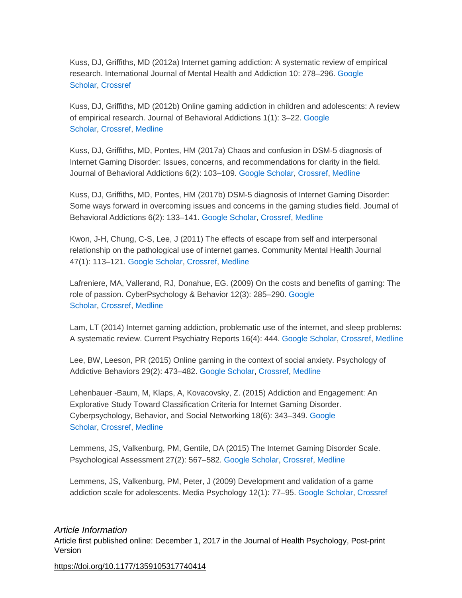Kuss, DJ, Griffiths, MD (2012a) Internet gaming addiction: A systematic review of empirical research. International Journal of Mental Health and Addiction 10: 278–296. [Google](http://scholar.google.com/scholar_lookup?hl=en&publication_year=2012&pages=278-296&author=DJ+Kuss&author=MD+Griffiths&title=Internet+gaming+addiction:+A+systematic+review+of+empirical+research&)  [Scholar,](http://scholar.google.com/scholar_lookup?hl=en&publication_year=2012&pages=278-296&author=DJ+Kuss&author=MD+Griffiths&title=Internet+gaming+addiction:+A+systematic+review+of+empirical+research&) [Crossref](http://journals.sagepub.com/servlet/linkout?suffix=bibr55-1359105317740414&dbid=16&doi=10.1177%2F1359105317740414&key=10.1007%2Fs11469-011-9318-5)

Kuss, DJ, Griffiths, MD (2012b) Online gaming addiction in children and adolescents: A review of empirical research. Journal of Behavioral Addictions 1(1): 3–22. [Google](http://scholar.google.com/scholar_lookup?hl=en&publication_year=2012&pages=3-22&issue=1&author=DJ+Kuss&author=MD+Griffiths&title=Online+gaming+addiction+in+children+and+adolescents:+A+review+of+empirical+research&)  [Scholar,](http://scholar.google.com/scholar_lookup?hl=en&publication_year=2012&pages=3-22&issue=1&author=DJ+Kuss&author=MD+Griffiths&title=Online+gaming+addiction+in+children+and+adolescents:+A+review+of+empirical+research&) [Crossref,](http://journals.sagepub.com/servlet/linkout?suffix=bibr56-1359105317740414&dbid=16&doi=10.1177%2F1359105317740414&key=10.1556%2FJBA.1.2012.1.1) [Medline](http://journals.sagepub.com/servlet/linkout?suffix=bibr56-1359105317740414&dbid=8&doi=10.1177%2F1359105317740414&key=26166826)

Kuss, DJ, Griffiths, MD, Pontes, HM (2017a) Chaos and confusion in DSM-5 diagnosis of Internet Gaming Disorder: Issues, concerns, and recommendations for clarity in the field. Journal of Behavioral Addictions 6(2): 103–109. [Google Scholar,](http://scholar.google.com/scholar_lookup?hl=en&publication_year=2017&pages=103-109&issue=2&author=DJ+Kuss&author=MD+Griffiths&author=HM+Pontes&title=Chaos+and+confusion+in+DSM-5+diagnosis+of+Internet+Gaming+Disorder:+Issues,+concerns,+and+recommendations+for+clarity+in+the+field&) [Crossref,](http://journals.sagepub.com/servlet/linkout?suffix=bibr57-1359105317740414&dbid=16&doi=10.1177%2F1359105317740414&key=10.1556%2F2006.5.2016.062) [Medline](http://journals.sagepub.com/servlet/linkout?suffix=bibr57-1359105317740414&dbid=8&doi=10.1177%2F1359105317740414&key=27599673)

Kuss, DJ, Griffiths, MD, Pontes, HM (2017b) DSM-5 diagnosis of Internet Gaming Disorder: Some ways forward in overcoming issues and concerns in the gaming studies field. Journal of Behavioral Addictions 6(2): 133–141. [Google Scholar,](http://scholar.google.com/scholar_lookup?hl=en&publication_year=2017&pages=133-141&issue=2&author=DJ+Kuss&author=MD+Griffiths&author=HM+Pontes&title=DSM-5+diagnosis+of+Internet+Gaming+Disorder:+Some+ways+forward+in+overcoming+issues+and+concerns+in+the+gaming+studies+field&) [Crossref,](http://journals.sagepub.com/servlet/linkout?suffix=bibr58-1359105317740414&dbid=16&doi=10.1177%2F1359105317740414&key=10.1556%2F2006.6.2017.032) [Medline](http://journals.sagepub.com/servlet/linkout?suffix=bibr58-1359105317740414&dbid=8&doi=10.1177%2F1359105317740414&key=28662619)

Kwon, J-H, Chung, C-S, Lee, J (2011) The effects of escape from self and interpersonal relationship on the pathological use of internet games. Community Mental Health Journal 47(1): 113–121. [Google Scholar,](http://scholar.google.com/scholar_lookup?hl=en&publication_year=2011&pages=113-121&issue=1&author=J-H+Kwon&author=C-S+Chung&author=J+Lee&title=The+effects+of+escape+from+self+and+interpersonal+relationship+on+the+pathological+use+of+internet+games&) [Crossref,](http://journals.sagepub.com/servlet/linkout?suffix=bibr59-1359105317740414&dbid=16&doi=10.1177%2F1359105317740414&key=10.1007%2Fs10597-009-9236-1) [Medline](http://journals.sagepub.com/servlet/linkout?suffix=bibr59-1359105317740414&dbid=8&doi=10.1177%2F1359105317740414&key=19701792)

Lafreniere, MA, Vallerand, RJ, Donahue, EG. (2009) On the costs and benefits of gaming: The role of passion. CyberPsychology & Behavior 12(3): 285–290. [Google](http://scholar.google.com/scholar_lookup?hl=en&publication_year=2009&pages=285-290&issue=3&author=MA+Lafreniere&author=RJ+Vallerand&author=EG+Donahue&title=On+the+costs+and+benefits+of+gaming:+The+role+of+passion&)  [Scholar,](http://scholar.google.com/scholar_lookup?hl=en&publication_year=2009&pages=285-290&issue=3&author=MA+Lafreniere&author=RJ+Vallerand&author=EG+Donahue&title=On+the+costs+and+benefits+of+gaming:+The+role+of+passion&) [Crossref,](http://journals.sagepub.com/servlet/linkout?suffix=bibr60-1359105317740414&dbid=16&doi=10.1177%2F1359105317740414&key=10.1089%2Fcpb.2008.0234) [Medline](http://journals.sagepub.com/servlet/linkout?suffix=bibr60-1359105317740414&dbid=8&doi=10.1177%2F1359105317740414&key=19366320)

Lam, LT (2014) Internet gaming addiction, problematic use of the internet, and sleep problems: A systematic review. Current Psychiatry Reports 16(4): 444. [Google Scholar,](http://scholar.google.com/scholar_lookup?hl=en&publication_year=2014&pages=444&issue=4&author=LT+Lam&title=Internet+gaming+addiction,+problematic+use+of+the+internet,+and+sleep+problems:+A+systematic+review&) [Crossref,](http://journals.sagepub.com/servlet/linkout?suffix=bibr61-1359105317740414&dbid=16&doi=10.1177%2F1359105317740414&key=10.1007%2Fs11920-014-0444-1) [Medline](http://journals.sagepub.com/servlet/linkout?suffix=bibr61-1359105317740414&dbid=8&doi=10.1177%2F1359105317740414&key=24619594)

Lee, BW, Leeson, PR (2015) Online gaming in the context of social anxiety. Psychology of Addictive Behaviors 29(2): 473–482. [Google Scholar,](http://scholar.google.com/scholar_lookup?hl=en&publication_year=2015&pages=473-482&issue=2&author=BW+Lee&author=PR+Leeson&title=Online+gaming+in+the+context+of+social+anxiety&) [Crossref,](http://journals.sagepub.com/servlet/linkout?suffix=bibr62-1359105317740414&dbid=16&doi=10.1177%2F1359105317740414&key=10.1037%2Fadb0000070) [Medline](http://journals.sagepub.com/servlet/linkout?suffix=bibr62-1359105317740414&dbid=8&doi=10.1177%2F1359105317740414&key=25938630)

Lehenbauer -Baum, M, Klaps, A, Kovacovsky, Z. (2015) Addiction and Engagement: An Explorative Study Toward Classification Criteria for Internet Gaming Disorder. Cyberpsychology, Behavior, and Social Networking 18(6): 343–349. [Google](http://scholar.google.com/scholar_lookup?hl=en&publication_year=2015&pages=343-349&issue=6&author=M+Lehenbauer+-Baum&author=A+Klaps&author=Z+Kovacovsky&title=Addiction+and+Engagement:+An+Explorative+Study+Toward+Classification+Criteria+for+Internet+Gaming+Disorder&)  [Scholar,](http://scholar.google.com/scholar_lookup?hl=en&publication_year=2015&pages=343-349&issue=6&author=M+Lehenbauer+-Baum&author=A+Klaps&author=Z+Kovacovsky&title=Addiction+and+Engagement:+An+Explorative+Study+Toward+Classification+Criteria+for+Internet+Gaming+Disorder&) [Crossref,](http://journals.sagepub.com/servlet/linkout?suffix=bibr63-1359105317740414&dbid=16&doi=10.1177%2F1359105317740414&key=10.1089%2Fcyber.2015.0063) [Medline](http://journals.sagepub.com/servlet/linkout?suffix=bibr63-1359105317740414&dbid=8&doi=10.1177%2F1359105317740414&key=26075922)

Lemmens, JS, Valkenburg, PM, Gentile, DA (2015) The Internet Gaming Disorder Scale. Psychological Assessment 27(2): 567–582. [Google Scholar,](http://scholar.google.com/scholar_lookup?hl=en&publication_year=2015&pages=567-582&issue=2&author=JS+Lemmens&author=PM+Valkenburg&author=DA+Gentile&title=The+Internet+Gaming+Disorder+Scale&) [Crossref,](http://journals.sagepub.com/servlet/linkout?suffix=bibr64-1359105317740414&dbid=16&doi=10.1177%2F1359105317740414&key=10.1037%2Fpas0000062) [Medline](http://journals.sagepub.com/servlet/linkout?suffix=bibr64-1359105317740414&dbid=8&doi=10.1177%2F1359105317740414&key=25558970)

Lemmens, JS, Valkenburg, PM, Peter, J (2009) Development and validation of a game addiction scale for adolescents. Media Psychology 12(1): 77–95. [Google Scholar,](http://scholar.google.com/scholar_lookup?hl=en&publication_year=2009&pages=77-95&issue=1&author=JS+Lemmens&author=PM+Valkenburg&author=J+Peter&title=Development+and+validation+of+a+game+addiction+scale+for+adolescents&) [Crossref](http://journals.sagepub.com/servlet/linkout?suffix=bibr65-1359105317740414&dbid=16&doi=10.1177%2F1359105317740414&key=10.1080%2F15213260802669458)

### *Article Information*

Article first published online: December 1, 2017 in the Journal of Health Psychology, Post-print Version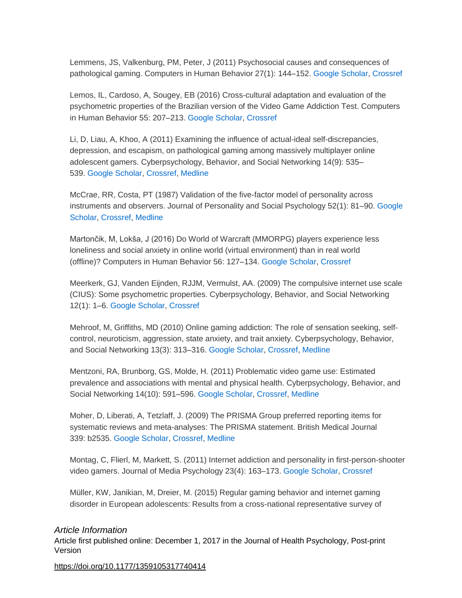Lemmens, JS, Valkenburg, PM, Peter, J (2011) Psychosocial causes and consequences of pathological gaming. Computers in Human Behavior 27(1): 144–152. [Google Scholar,](http://scholar.google.com/scholar_lookup?hl=en&publication_year=2011&pages=144-152&issue=1&author=JS+Lemmens&author=PM+Valkenburg&author=J+Peter&title=Psychosocial+causes+and+consequences+of+pathological+gaming&) [Crossref](http://journals.sagepub.com/servlet/linkout?suffix=bibr66-1359105317740414&dbid=16&doi=10.1177%2F1359105317740414&key=10.1016%2Fj.chb.2010.07.015)

Lemos, IL, Cardoso, A, Sougey, EB (2016) Cross-cultural adaptation and evaluation of the psychometric properties of the Brazilian version of the Video Game Addiction Test. Computers in Human Behavior 55: 207–213. [Google Scholar,](http://scholar.google.com/scholar_lookup?hl=en&publication_year=2016&pages=207-213&author=IL+Lemos&author=A+Cardoso&author=EB+Sougey&title=Cross-cultural+adaptation+and+evaluation+of+the+psychometric+properties+of+the+Brazilian+version+of+the+Video+Game+Addiction+Test&) [Crossref](http://journals.sagepub.com/servlet/linkout?suffix=bibr67-1359105317740414&dbid=16&doi=10.1177%2F1359105317740414&key=10.1016%2Fj.chb.2015.09.019)

Li, D, Liau, A, Khoo, A (2011) Examining the influence of actual-ideal self-discrepancies, depression, and escapism, on pathological gaming among massively multiplayer online adolescent gamers. Cyberpsychology, Behavior, and Social Networking 14(9): 535– 539. [Google Scholar,](http://scholar.google.com/scholar_lookup?hl=en&publication_year=2011&pages=535-539&issue=9&author=D+Li&author=A+Liau&author=A+Khoo&title=Examining+the+influence+of+actual-ideal+self-discrepancies,+depression,+and+escapism,+on+pathological+gaming+among+massively+multiplayer+online+adolescent+gamers&) [Crossref,](http://journals.sagepub.com/servlet/linkout?suffix=bibr68-1359105317740414&dbid=16&doi=10.1177%2F1359105317740414&key=10.1089%2Fcyber.2010.0463) [Medline](http://journals.sagepub.com/servlet/linkout?suffix=bibr68-1359105317740414&dbid=8&doi=10.1177%2F1359105317740414&key=21332374)

McCrae, RR, Costa, PT (1987) Validation of the five-factor model of personality across instruments and observers. Journal of Personality and Social Psychology 52(1): 81–90. [Google](http://scholar.google.com/scholar_lookup?hl=en&publication_year=1987&pages=81-90&issue=1&author=RR+McCrae&author=PT+Costa&title=Validation+of+the+five-factor+model+of+personality+across+instruments+and+observers&)  [Scholar,](http://scholar.google.com/scholar_lookup?hl=en&publication_year=1987&pages=81-90&issue=1&author=RR+McCrae&author=PT+Costa&title=Validation+of+the+five-factor+model+of+personality+across+instruments+and+observers&) [Crossref,](http://journals.sagepub.com/servlet/linkout?suffix=bibr69-1359105317740414&dbid=16&doi=10.1177%2F1359105317740414&key=10.1037%2F0022-3514.52.1.81) [Medline](http://journals.sagepub.com/servlet/linkout?suffix=bibr69-1359105317740414&dbid=8&doi=10.1177%2F1359105317740414&key=3820081)

Martončik, M, Lokša, J (2016) Do World of Warcraft (MMORPG) players experience less loneliness and social anxiety in online world (virtual environment) than in real world (offline)? Computers in Human Behavior 56: 127–134. [Google Scholar,](http://scholar.google.com/scholar_lookup?hl=en&publication_year=2016&pages=127-134&author=M+Marton%C4%8Dik&author=J+Lok%C5%A1a&title=Do+World+of+Warcraft+(MMORPG)+players+experience+less+loneliness+and+social+anxiety+in+online+world+(virtual+environment)+than+in+real+world+(offline)?&) [Crossref](http://journals.sagepub.com/servlet/linkout?suffix=bibr70-1359105317740414&dbid=16&doi=10.1177%2F1359105317740414&key=10.1016%2Fj.chb.2015.11.035)

Meerkerk, GJ, Vanden Eijnden, RJJM, Vermulst, AA. (2009) The compulsive internet use scale (CIUS): Some psychometric properties. Cyberpsychology, Behavior, and Social Networking 12(1): 1–6. [Google Scholar,](http://scholar.google.com/scholar_lookup?hl=en&publication_year=2009&pages=1-6&issue=1&author=GJ+Meerkerk&author=RJJM+Vanden+Eijnden&author=AA+Vermulst&title=The+compulsive+internet+use+scale+(CIUS):+Some+psychometric+properties&) [Crossref](http://journals.sagepub.com/servlet/linkout?suffix=bibr71-1359105317740414&dbid=16&doi=10.1177%2F1359105317740414&key=10.1089%2Fcpb.2008.0181)

Mehroof, M, Griffiths, MD (2010) Online gaming addiction: The role of sensation seeking, selfcontrol, neuroticism, aggression, state anxiety, and trait anxiety. Cyberpsychology, Behavior, and Social Networking 13(3): 313–316. [Google Scholar,](http://scholar.google.com/scholar_lookup?hl=en&publication_year=2010&pages=313-316&issue=3&author=M+Mehroof&author=MD+Griffiths&title=Online+gaming+addiction:+The+role+of+sensation+seeking,+self-control,+neuroticism,+aggression,+state+anxiety,+and+trait+anxiety&) [Crossref,](http://journals.sagepub.com/servlet/linkout?suffix=bibr72-1359105317740414&dbid=16&doi=10.1177%2F1359105317740414&key=10.1089%2Fcyber.2009.0229) [Medline](http://journals.sagepub.com/servlet/linkout?suffix=bibr72-1359105317740414&dbid=8&doi=10.1177%2F1359105317740414&key=20557251)

Mentzoni, RA, Brunborg, GS, Molde, H. (2011) Problematic video game use: Estimated prevalence and associations with mental and physical health. Cyberpsychology, Behavior, and Social Networking 14(10): 591–596. [Google Scholar,](http://scholar.google.com/scholar_lookup?hl=en&publication_year=2011&pages=591-596&issue=10&author=RA+Mentzoni&author=GS+Brunborg&author=H+Molde&title=Problematic+video+game+use:+Estimated+prevalence+and+associations+with+mental+and+physical+health&) [Crossref,](http://journals.sagepub.com/servlet/linkout?suffix=bibr73-1359105317740414&dbid=16&doi=10.1177%2F1359105317740414&key=10.1089%2Fcyber.2010.0260) [Medline](http://journals.sagepub.com/servlet/linkout?suffix=bibr73-1359105317740414&dbid=8&doi=10.1177%2F1359105317740414&key=21342010)

Moher, D, Liberati, A, Tetzlaff, J. (2009) The PRISMA Group preferred reporting items for systematic reviews and meta-analyses: The PRISMA statement. British Medical Journal 339: b2535. [Google Scholar,](http://scholar.google.com/scholar_lookup?hl=en&publication_year=2009&pages=b2535&author=D+Moher&author=A+Liberati&author=J+Tetzlaff&title=The+PRISMA+Group+preferred+reporting+items+for+systematic+reviews+and+meta-analyses:+The+PRISMA+statement&) [Crossref,](http://journals.sagepub.com/servlet/linkout?suffix=bibr74-1359105317740414&dbid=16&doi=10.1177%2F1359105317740414&key=10.1136%2Fbmj.b2535) [Medline](http://journals.sagepub.com/servlet/linkout?suffix=bibr74-1359105317740414&dbid=8&doi=10.1177%2F1359105317740414&key=19622551)

Montag, C, Flierl, M, Markett, S. (2011) Internet addiction and personality in first-person-shooter video gamers. Journal of Media Psychology 23(4): 163–173. [Google Scholar,](http://scholar.google.com/scholar_lookup?hl=en&publication_year=2011&pages=163-173&issue=4&author=C+Montag&author=M+Flierl&author=S+Markett&title=Internet+addiction+and+personality+in+first-person-shooter+video+gamers&) [Crossref](http://journals.sagepub.com/servlet/linkout?suffix=bibr75-1359105317740414&dbid=16&doi=10.1177%2F1359105317740414&key=10.1027%2F1864-1105%2Fa000049)

Müller, KW, Janikian, M, Dreier, M. (2015) Regular gaming behavior and internet gaming disorder in European adolescents: Results from a cross-national representative survey of

#### *Article Information*

Article first published online: December 1, 2017 in the Journal of Health Psychology, Post-print Version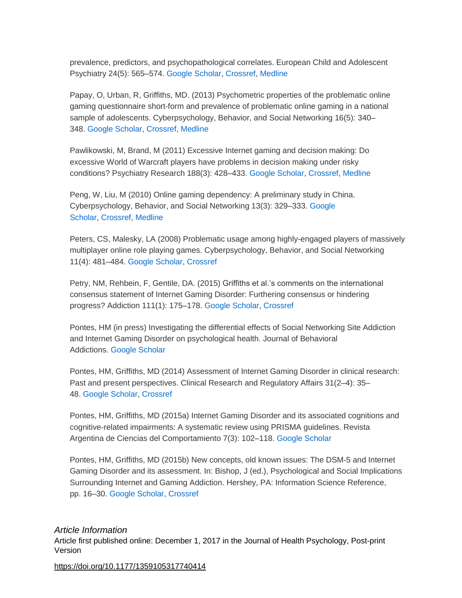prevalence, predictors, and psychopathological correlates. European Child and Adolescent Psychiatry 24(5): 565–574. [Google Scholar,](http://scholar.google.com/scholar_lookup?hl=en&publication_year=2015&pages=565-574&issue=5&author=KW+M%C3%BCller&author=M+Janikian&author=M+Dreier&title=Regular+gaming+behavior+and+internet+gaming+disorder+in+European+adolescents:+Results+from+a+cross-national+representative+survey+of+prevalence,+predictors,+and+psychopathological+correlates&) [Crossref,](http://journals.sagepub.com/servlet/linkout?suffix=bibr76-1359105317740414&dbid=16&doi=10.1177%2F1359105317740414&key=10.1007%2Fs00787-014-0611-2) [Medline](http://journals.sagepub.com/servlet/linkout?suffix=bibr76-1359105317740414&dbid=8&doi=10.1177%2F1359105317740414&key=25189795)

Papay, O, Urban, R, Griffiths, MD. (2013) Psychometric properties of the problematic online gaming questionnaire short-form and prevalence of problematic online gaming in a national sample of adolescents. Cyberpsychology, Behavior, and Social Networking 16(5): 340– 348. [Google Scholar,](http://scholar.google.com/scholar_lookup?hl=en&publication_year=2013&pages=340-348&issue=5&author=O+Papay&author=R+Urban&author=MD+Griffiths&title=Psychometric+properties+of+the+problematic+online+gaming+questionnaire+short-form+and+prevalence+of+problematic+online+gaming+in+a+national+sample+of+adolescents&) [Crossref,](http://journals.sagepub.com/servlet/linkout?suffix=bibr77-1359105317740414&dbid=16&doi=10.1177%2F1359105317740414&key=10.1089%2Fcyber.2012.0484) [Medline](http://journals.sagepub.com/servlet/linkout?suffix=bibr77-1359105317740414&dbid=8&doi=10.1177%2F1359105317740414&key=23621688)

Pawlikowski, M, Brand, M (2011) Excessive Internet gaming and decision making: Do excessive World of Warcraft players have problems in decision making under risky conditions? Psychiatry Research 188(3): 428–433. [Google Scholar,](http://scholar.google.com/scholar_lookup?hl=en&publication_year=2011&pages=428-433&issue=3&author=M+Pawlikowski&author=M+Brand&title=Excessive+Internet+gaming+and+decision+making:+Do+excessive+World+of+Warcraft+players+have+problems+in+decision+making+under+risky+conditions?&) [Crossref,](http://journals.sagepub.com/servlet/linkout?suffix=bibr78-1359105317740414&dbid=16&doi=10.1177%2F1359105317740414&key=10.1016%2Fj.psychres.2011.05.017) [Medline](http://journals.sagepub.com/servlet/linkout?suffix=bibr78-1359105317740414&dbid=8&doi=10.1177%2F1359105317740414&key=21641048)

Peng, W, Liu, M (2010) Online gaming dependency: A preliminary study in China. Cyberpsychology, Behavior, and Social Networking 13(3): 329–333. [Google](http://scholar.google.com/scholar_lookup?hl=en&publication_year=2010&pages=329-333&issue=3&author=W+Peng&author=M+Liu&title=Online+gaming+dependency:+A+preliminary+study+in+China&)  [Scholar,](http://scholar.google.com/scholar_lookup?hl=en&publication_year=2010&pages=329-333&issue=3&author=W+Peng&author=M+Liu&title=Online+gaming+dependency:+A+preliminary+study+in+China&) [Crossref,](http://journals.sagepub.com/servlet/linkout?suffix=bibr79-1359105317740414&dbid=16&doi=10.1177%2F1359105317740414&key=10.1089%2Fcyber.2009.0082) [Medline](http://journals.sagepub.com/servlet/linkout?suffix=bibr79-1359105317740414&dbid=8&doi=10.1177%2F1359105317740414&key=20557254)

Peters, CS, Malesky, LA (2008) Problematic usage among highly-engaged players of massively multiplayer online role playing games. Cyberpsychology, Behavior, and Social Networking 11(4): 481–484. [Google Scholar,](http://scholar.google.com/scholar_lookup?hl=en&publication_year=2008&pages=481-484&issue=4&author=CS+Peters&author=LA+Malesky&title=Problematic+usage+among+highly-engaged+players+of+massively+multiplayer+online+role+playing+games&) [Crossref](http://journals.sagepub.com/servlet/linkout?suffix=bibr80-1359105317740414&dbid=16&doi=10.1177%2F1359105317740414&key=10.1089%2Fcpb.2007.0140)

Petry, NM, Rehbein, F, Gentile, DA. (2015) Griffiths et al.'s comments on the international consensus statement of Internet Gaming Disorder: Furthering consensus or hindering progress? Addiction 111(1): 175–178. [Google Scholar,](http://scholar.google.com/scholar_lookup?hl=en&publication_year=2015&pages=175-178&issue=1&author=NM+Petry&author=F+Rehbein&author=DA+Gentile&title=Griffiths+et+al.%E2%80%99s+comments+on+the+international+consensus+statement+of+Internet+Gaming+Disorder:+Furthering+consensus+or+hindering+progress?&) [Crossref](http://journals.sagepub.com/servlet/linkout?suffix=bibr81-1359105317740414&dbid=16&doi=10.1177%2F1359105317740414&key=10.1111%2Fadd.13189)

Pontes, HM (in press) Investigating the differential effects of Social Networking Site Addiction and Internet Gaming Disorder on psychological health. Journal of Behavioral Addictions. [Google Scholar](http://scholar.google.com/scholar_lookup?hl=en&author=HM+Pontes&title=Investigating+the+differential+effects+of+Social+Networking+Site+Addiction+and+Internet+Gaming+Disorder+on+psychological+health&)

Pontes, HM, Griffiths, MD (2014) Assessment of Internet Gaming Disorder in clinical research: Past and present perspectives. Clinical Research and Regulatory Affairs 31(2–4): 35– 48. [Google Scholar,](http://scholar.google.com/scholar_lookup?hl=en&publication_year=2014&pages=35-48&issue=2%E2%80%934&author=HM+Pontes&author=MD+Griffiths&title=Assessment+of+Internet+Gaming+Disorder+in+clinical+research:+Past+and+present+perspectives&) [Crossref](http://journals.sagepub.com/servlet/linkout?suffix=bibr83-1359105317740414&dbid=16&doi=10.1177%2F1359105317740414&key=10.3109%2F10601333.2014.962748)

Pontes, HM, Griffiths, MD (2015a) Internet Gaming Disorder and its associated cognitions and cognitive-related impairments: A systematic review using PRISMA guidelines. Revista Argentina de Ciencias del Comportamiento 7(3): 102–118. [Google Scholar](http://scholar.google.com/scholar_lookup?hl=en&publication_year=2015&pages=102-118&issue=3&author=HM+Pontes&author=MD+Griffiths&title=Internet+Gaming+Disorder+and+its+associated+cognitions+and+cognitive-related+impairments:+A+systematic+review+using+PRISMA+guidelines&)

Pontes, HM, Griffiths, MD (2015b) New concepts, old known issues: The DSM-5 and Internet Gaming Disorder and its assessment. In: Bishop, J (ed.), Psychological and Social Implications Surrounding Internet and Gaming Addiction. Hershey, PA: Information Science Reference, pp. 16–30. [Google Scholar,](http://scholar.google.com/scholar_lookup?hl=en&publication_year=2015&pages=16-30&issue=3&author=HM+Pontes&author=MD+Griffiths&title=Psychological+and+Social+Implications+Surrounding+Internet+and+Gaming+Addiction&) [Crossref](http://journals.sagepub.com/servlet/linkout?suffix=bibr85-1359105317740414&dbid=16&doi=10.1177%2F1359105317740414&key=10.4018%2F978-1-4666-8595-6.ch002)

*Article Information* Article first published online: December 1, 2017 in the Journal of Health Psychology, Post-print Version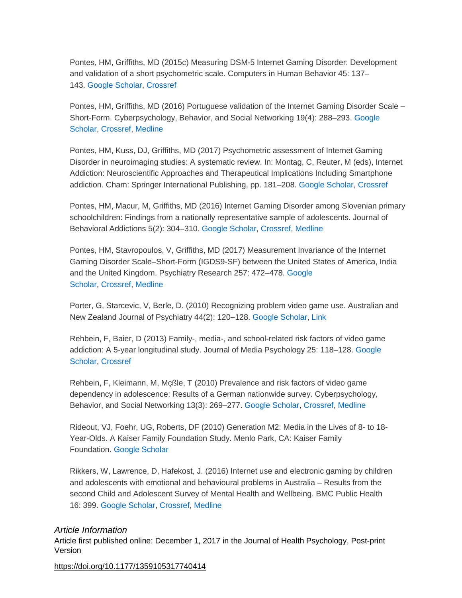Pontes, HM, Griffiths, MD (2015c) Measuring DSM-5 Internet Gaming Disorder: Development and validation of a short psychometric scale. Computers in Human Behavior 45: 137– 143. [Google Scholar,](http://scholar.google.com/scholar_lookup?hl=en&publication_year=2015&pages=137-143&author=HM+Pontes&author=MD+Griffiths&title=Measuring+DSM-5+Internet+Gaming+Disorder:+Development+and+validation+of+a+short+psychometric+scale&) [Crossref](http://journals.sagepub.com/servlet/linkout?suffix=bibr86-1359105317740414&dbid=16&doi=10.1177%2F1359105317740414&key=10.1016%2Fj.chb.2014.12.006)

Pontes, HM, Griffiths, MD (2016) Portuguese validation of the Internet Gaming Disorder Scale – Short-Form. Cyberpsychology, Behavior, and Social Networking 19(4): 288–293. [Google](http://scholar.google.com/scholar_lookup?hl=en&publication_year=2016&pages=288-293&issue=4&author=HM+Pontes&author=MD+Griffiths&title=Portuguese+validation+of+the+Internet+Gaming+Disorder+Scale+%E2%80%93+Short-Form&)  [Scholar,](http://scholar.google.com/scholar_lookup?hl=en&publication_year=2016&pages=288-293&issue=4&author=HM+Pontes&author=MD+Griffiths&title=Portuguese+validation+of+the+Internet+Gaming+Disorder+Scale+%E2%80%93+Short-Form&) [Crossref,](http://journals.sagepub.com/servlet/linkout?suffix=bibr87-1359105317740414&dbid=16&doi=10.1177%2F1359105317740414&key=10.1089%2Fcyber.2015.0605) [Medline](http://journals.sagepub.com/servlet/linkout?suffix=bibr87-1359105317740414&dbid=8&doi=10.1177%2F1359105317740414&key=26974853)

Pontes, HM, Kuss, DJ, Griffiths, MD (2017) Psychometric assessment of Internet Gaming Disorder in neuroimaging studies: A systematic review. In: Montag, C, Reuter, M (eds), Internet Addiction: Neuroscientific Approaches and Therapeutical Implications Including Smartphone addiction. Cham: Springer International Publishing, pp. 181–208. [Google Scholar,](http://scholar.google.com/scholar_lookup?hl=en&publication_year=2017&pages=181-208&issue=4&author=HM+Pontes&author=DJ+Kuss&author=MD+Griffiths&title=Internet+Addiction:+Neuroscientific+Approaches+and+Therapeutical+Implications+Including+Smartphone+addiction&) [Crossref](http://journals.sagepub.com/servlet/linkout?suffix=bibr88-1359105317740414&dbid=16&doi=10.1177%2F1359105317740414&key=10.1007%2F978-3-319-46276-9_11)

Pontes, HM, Macur, M, Griffiths, MD (2016) Internet Gaming Disorder among Slovenian primary schoolchildren: Findings from a nationally representative sample of adolescents. Journal of Behavioral Addictions 5(2): 304–310. [Google Scholar,](http://scholar.google.com/scholar_lookup?hl=en&publication_year=2016&pages=304-310&issue=2&author=HM+Pontes&author=M+Macur&author=MD+Griffiths&title=Internet+Gaming+Disorder+among+Slovenian+primary+schoolchildren:+Findings+from+a+nationally+representative+sample+of+adolescents&) [Crossref,](http://journals.sagepub.com/servlet/linkout?suffix=bibr89-1359105317740414&dbid=16&doi=10.1177%2F1359105317740414&key=10.1556%2F2006.5.2016.042) [Medline](http://journals.sagepub.com/servlet/linkout?suffix=bibr89-1359105317740414&dbid=8&doi=10.1177%2F1359105317740414&key=27363464)

Pontes, HM, Stavropoulos, V, Griffiths, MD (2017) Measurement Invariance of the Internet Gaming Disorder Scale–Short-Form (IGDS9-SF) between the United States of America, India and the United Kingdom. Psychiatry Research 257: 472–478. [Google](http://scholar.google.com/scholar_lookup?hl=en&publication_year=2017&pages=472-478&author=HM+Pontes&author=V+Stavropoulos&author=MD+Griffiths&title=Measurement+Invariance+of+the+Internet+Gaming+Disorder+Scale%E2%80%93Short-Form+(IGDS9-SF)+between+the+United+States+of+America,+India+and+the+United+Kingdom&)  [Scholar,](http://scholar.google.com/scholar_lookup?hl=en&publication_year=2017&pages=472-478&author=HM+Pontes&author=V+Stavropoulos&author=MD+Griffiths&title=Measurement+Invariance+of+the+Internet+Gaming+Disorder+Scale%E2%80%93Short-Form+(IGDS9-SF)+between+the+United+States+of+America,+India+and+the+United+Kingdom&) [Crossref,](http://journals.sagepub.com/servlet/linkout?suffix=bibr90-1359105317740414&dbid=16&doi=10.1177%2F1359105317740414&key=10.1016%2Fj.psychres.2017.08.013) [Medline](http://journals.sagepub.com/servlet/linkout?suffix=bibr90-1359105317740414&dbid=8&doi=10.1177%2F1359105317740414&key=28837939)

Porter, G, Starcevic, V, Berle, D. (2010) Recognizing problem video game use. Australian and New Zealand Journal of Psychiatry 44(2): 120–128. [Google Scholar,](http://scholar.google.com/scholar_lookup?hl=en&publication_year=2010&pages=120-128&issue=2&author=G+Porter&author=V+Starcevic&author=D+Berle&title=Recognizing+problem+video+game+use&) [Link](http://journals.sagepub.com/doi/10.3109/00048670903279812)

Rehbein, F, Baier, D (2013) Family-, media-, and school-related risk factors of video game addiction: A 5-year longitudinal study. Journal of Media Psychology 25: 118–128. [Google](http://scholar.google.com/scholar_lookup?hl=en&publication_year=2013&pages=118-128&author=F+Rehbein&author=D+Baier&title=Family-,+media-,+and+school-related+risk+factors+of+video+game+addiction:+A+5-year+longitudinal+study&)  [Scholar,](http://scholar.google.com/scholar_lookup?hl=en&publication_year=2013&pages=118-128&author=F+Rehbein&author=D+Baier&title=Family-,+media-,+and+school-related+risk+factors+of+video+game+addiction:+A+5-year+longitudinal+study&) [Crossref](http://journals.sagepub.com/servlet/linkout?suffix=bibr92-1359105317740414&dbid=16&doi=10.1177%2F1359105317740414&key=10.1027%2F1864-1105%2Fa000093)

Rehbein, F, Kleimann, M, Mçßle, T (2010) Prevalence and risk factors of video game dependency in adolescence: Results of a German nationwide survey. Cyberpsychology, Behavior, and Social Networking 13(3): 269–277. [Google Scholar,](http://scholar.google.com/scholar_lookup?hl=en&publication_year=2010&pages=269-277&issue=3&author=F+Rehbein&author=M+Kleimann&author=T+M%C3%A7%C3%9Fle&title=Prevalence+and+risk+factors+of+video+game+dependency+in+adolescence:+Results+of+a+German+nationwide+survey&) [Crossref,](http://journals.sagepub.com/servlet/linkout?suffix=bibr93-1359105317740414&dbid=16&doi=10.1177%2F1359105317740414&key=10.1089%2Fcyber.2009.0227) [Medline](http://journals.sagepub.com/servlet/linkout?suffix=bibr93-1359105317740414&dbid=8&doi=10.1177%2F1359105317740414&key=20557246)

Rideout, VJ, Foehr, UG, Roberts, DF (2010) Generation M2: Media in the Lives of 8- to 18- Year-Olds. A Kaiser Family Foundation Study. Menlo Park, CA: Kaiser Family Foundation. [Google Scholar](http://scholar.google.com/scholar_lookup?hl=en&publication_year=2010&issue=3&author=VJ+Rideout&author=UG+Foehr&author=DF+Roberts&title=Generation+M2:+Media+in+the+Lives+of+8-+to+18-Year-Olds.+A+Kaiser+Family+Foundation+Study&)

Rikkers, W, Lawrence, D, Hafekost, J. (2016) Internet use and electronic gaming by children and adolescents with emotional and behavioural problems in Australia – Results from the second Child and Adolescent Survey of Mental Health and Wellbeing. BMC Public Health 16: 399. [Google Scholar,](http://scholar.google.com/scholar_lookup?hl=en&publication_year=2016&pages=399&author=W+Rikkers&author=D+Lawrence&author=J+Hafekost&title=Internet+use+and+electronic+gaming+by+children+and+adolescents+with+emotional+and+behavioural+problems+in+Australia+%E2%80%93+Results+from+the+second+Child+and+Adolescent+Survey+of+Mental+Health+and+Wellbeing&) [Crossref,](http://journals.sagepub.com/servlet/linkout?suffix=bibr95-1359105317740414&dbid=16&doi=10.1177%2F1359105317740414&key=10.1186%2Fs12889-016-3058-1) [Medline](http://journals.sagepub.com/servlet/linkout?suffix=bibr95-1359105317740414&dbid=8&doi=10.1177%2F1359105317740414&key=27178325)

#### *Article Information*

Article first published online: December 1, 2017 in the Journal of Health Psychology, Post-print Version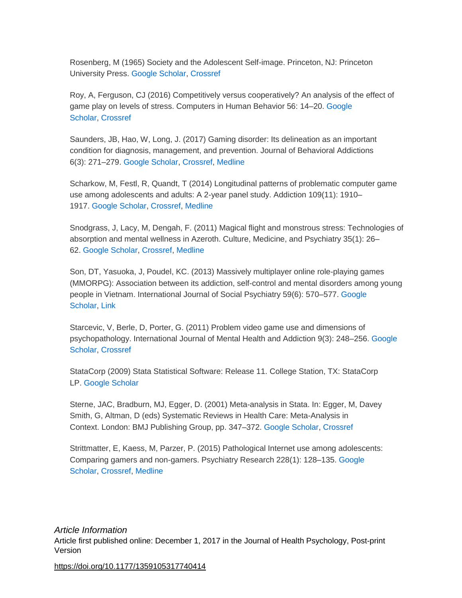Rosenberg, M (1965) Society and the Adolescent Self-image. Princeton, NJ: Princeton University Press. [Google Scholar,](http://scholar.google.com/scholar_lookup?hl=en&publication_year=1965&author=M+Rosenberg&title=Society+and+the+Adolescent+Self-image&) [Crossref](http://journals.sagepub.com/servlet/linkout?suffix=bibr96-1359105317740414&dbid=16&doi=10.1177%2F1359105317740414&key=10.1515%2F9781400876136)

Roy, A, Ferguson, CJ (2016) Competitively versus cooperatively? An analysis of the effect of game play on levels of stress. Computers in Human Behavior 56: 14–20. [Google](http://scholar.google.com/scholar_lookup?hl=en&publication_year=2016&pages=14-20&author=A+Roy&author=CJ+Ferguson&title=Competitively+versus+cooperatively?+An+analysis+of+the+effect+of+game+play+on+levels+of+stress&)  [Scholar,](http://scholar.google.com/scholar_lookup?hl=en&publication_year=2016&pages=14-20&author=A+Roy&author=CJ+Ferguson&title=Competitively+versus+cooperatively?+An+analysis+of+the+effect+of+game+play+on+levels+of+stress&) [Crossref](http://journals.sagepub.com/servlet/linkout?suffix=bibr97-1359105317740414&dbid=16&doi=10.1177%2F1359105317740414&key=10.1016%2Fj.chb.2015.11.020)

Saunders, JB, Hao, W, Long, J. (2017) Gaming disorder: Its delineation as an important condition for diagnosis, management, and prevention. Journal of Behavioral Addictions 6(3): 271–279. [Google Scholar,](http://scholar.google.com/scholar_lookup?hl=en&publication_year=2017&pages=271-279&issue=3&author=JB+Saunders&author=W+Hao&author=J+Long&title=Gaming+disorder:+Its+delineation+as+an+important+condition+for+diagnosis,+management,+and+prevention&) [Crossref,](http://journals.sagepub.com/servlet/linkout?suffix=bibr98-1359105317740414&dbid=16&doi=10.1177%2F1359105317740414&key=10.1556%2F2006.6.2017.039) [Medline](http://journals.sagepub.com/servlet/linkout?suffix=bibr98-1359105317740414&dbid=8&doi=10.1177%2F1359105317740414&key=28816494)

Scharkow, M, Festl, R, Quandt, T (2014) Longitudinal patterns of problematic computer game use among adolescents and adults: A 2-year panel study. Addiction 109(11): 1910– 1917. [Google Scholar,](http://scholar.google.com/scholar_lookup?hl=en&publication_year=2014&pages=1910-1917&issue=11&author=M+Scharkow&author=R+Festl&author=T+Quandt&title=Longitudinal+patterns+of+problematic+computer+game+use+among+adolescents+and+adults:+A+2-year+panel+study&) [Crossref,](http://journals.sagepub.com/servlet/linkout?suffix=bibr99-1359105317740414&dbid=16&doi=10.1177%2F1359105317740414&key=10.1111%2Fadd.12662) [Medline](http://journals.sagepub.com/servlet/linkout?suffix=bibr99-1359105317740414&dbid=8&doi=10.1177%2F1359105317740414&key=24938480)

Snodgrass, J, Lacy, M, Dengah, F. (2011) Magical flight and monstrous stress: Technologies of absorption and mental wellness in Azeroth. Culture, Medicine, and Psychiatry 35(1): 26– 62. [Google Scholar,](http://scholar.google.com/scholar_lookup?hl=en&publication_year=2011&pages=26-62&issue=1&author=J+Snodgrass&author=M+Lacy&author=F+Dengah&title=Magical+flight+and+monstrous+stress:+Technologies+of+absorption+and+mental+wellness+in+Azeroth&) [Crossref,](http://journals.sagepub.com/servlet/linkout?suffix=bibr100-1359105317740414&dbid=16&doi=10.1177%2F1359105317740414&key=10.1007%2Fs11013-010-9197-4) [Medline](http://journals.sagepub.com/servlet/linkout?suffix=bibr100-1359105317740414&dbid=8&doi=10.1177%2F1359105317740414&key=21165683)

Son, DT, Yasuoka, J, Poudel, KC. (2013) Massively multiplayer online role-playing games (MMORPG): Association between its addiction, self-control and mental disorders among young people in Vietnam. International Journal of Social Psychiatry 59(6): 570–577. [Google](http://scholar.google.com/scholar_lookup?hl=en&publication_year=2013&pages=570-577&issue=6&author=DT+Son&author=J+Yasuoka&author=KC+Poudel&title=Massively+multiplayer+online+role-playing+games+(MMORPG):+Association+between+its+addiction,+self-control+and+mental+disorders+among+young+people+in+Vietnam&)  [Scholar,](http://scholar.google.com/scholar_lookup?hl=en&publication_year=2013&pages=570-577&issue=6&author=DT+Son&author=J+Yasuoka&author=KC+Poudel&title=Massively+multiplayer+online+role-playing+games+(MMORPG):+Association+between+its+addiction,+self-control+and+mental+disorders+among+young+people+in+Vietnam&) [Link](http://journals.sagepub.com/doi/10.1177/0020764012445861)

Starcevic, V, Berle, D, Porter, G. (2011) Problem video game use and dimensions of psychopathology. International Journal of Mental Health and Addiction 9(3): 248–256. [Google](http://scholar.google.com/scholar_lookup?hl=en&publication_year=2011&pages=248-256&issue=3&author=V+Starcevic&author=D+Berle&author=G+Porter&title=Problem+video+game+use+and+dimensions+of+psychopathology&)  [Scholar,](http://scholar.google.com/scholar_lookup?hl=en&publication_year=2011&pages=248-256&issue=3&author=V+Starcevic&author=D+Berle&author=G+Porter&title=Problem+video+game+use+and+dimensions+of+psychopathology&) [Crossref](http://journals.sagepub.com/servlet/linkout?suffix=bibr102-1359105317740414&dbid=16&doi=10.1177%2F1359105317740414&key=10.1007%2Fs11469-010-9282-5)

StataCorp (2009) Stata Statistical Software: Release 11. College Station, TX: StataCorp LP. [Google Scholar](http://scholar.google.com/scholar_lookup?hl=en&publication_year=2009&issue=3&title=Stata+Statistical+Software:+Release+11&)

Sterne, JAC, Bradburn, MJ, Egger, D. (2001) Meta-analysis in Stata. In: Egger, M, Davey Smith, G, Altman, D (eds) Systematic Reviews in Health Care: Meta-Analysis in Context. London: BMJ Publishing Group, pp. 347–372. [Google Scholar,](http://scholar.google.com/scholar_lookup?hl=en&publication_year=2001&pages=347-372&issue=3&author=JAC+Sterne&author=MJ+Bradburn&author=D+Egger&title=Systematic+Reviews+in+Health+Care:+Meta-Analysis+in+Context&) [Crossref](http://journals.sagepub.com/servlet/linkout?suffix=bibr104-1359105317740414&dbid=16&doi=10.1177%2F1359105317740414&key=10.1002%2F9780470693926.ch18)

Strittmatter, E, Kaess, M, Parzer, P. (2015) Pathological Internet use among adolescents: Comparing gamers and non-gamers. Psychiatry Research 228(1): 128–135. [Google](http://scholar.google.com/scholar_lookup?hl=en&publication_year=2015&pages=128-135&issue=1&author=E+Strittmatter&author=M+Kaess&author=P+Parzer&title=Pathological+Internet+use+among+adolescents:+Comparing+gamers+and+non-gamers&)  [Scholar,](http://scholar.google.com/scholar_lookup?hl=en&publication_year=2015&pages=128-135&issue=1&author=E+Strittmatter&author=M+Kaess&author=P+Parzer&title=Pathological+Internet+use+among+adolescents:+Comparing+gamers+and+non-gamers&) [Crossref,](http://journals.sagepub.com/servlet/linkout?suffix=bibr105-1359105317740414&dbid=16&doi=10.1177%2F1359105317740414&key=10.1016%2Fj.psychres.2015.04.029) [Medline](http://journals.sagepub.com/servlet/linkout?suffix=bibr105-1359105317740414&dbid=8&doi=10.1177%2F1359105317740414&key=25959265)

*Article Information* Article first published online: December 1, 2017 in the Journal of Health Psychology, Post-print Version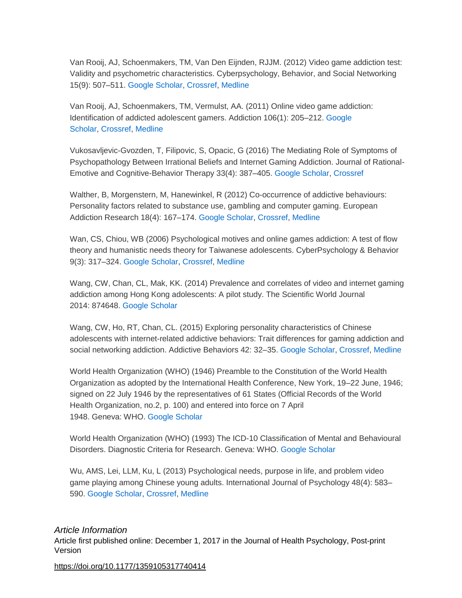Van Rooij, AJ, Schoenmakers, TM, Van Den Eijnden, RJJM. (2012) Video game addiction test: Validity and psychometric characteristics. Cyberpsychology, Behavior, and Social Networking 15(9): 507–511. [Google Scholar,](http://scholar.google.com/scholar_lookup?hl=en&publication_year=2012&pages=507-511&issue=9&author=AJ+Van+Rooij&author=TM+Schoenmakers&author=RJJM+Van+Den+Eijnden&title=Video+game+addiction+test:+Validity+and+psychometric+characteristics&) [Crossref,](http://journals.sagepub.com/servlet/linkout?suffix=bibr106-1359105317740414&dbid=16&doi=10.1177%2F1359105317740414&key=10.1089%2Fcyber.2012.0007) [Medline](http://journals.sagepub.com/servlet/linkout?suffix=bibr106-1359105317740414&dbid=8&doi=10.1177%2F1359105317740414&key=22900926)

Van Rooij, AJ, Schoenmakers, TM, Vermulst, AA. (2011) Online video game addiction: Identification of addicted adolescent gamers. Addiction 106(1): 205–212. [Google](http://scholar.google.com/scholar_lookup?hl=en&publication_year=2011&pages=205-212&issue=1&author=AJ+Van+Rooij&author=TM+Schoenmakers&author=AA+Vermulst&title=Online+video+game+addiction:+Identification+of+addicted+adolescent+gamers&)  [Scholar,](http://scholar.google.com/scholar_lookup?hl=en&publication_year=2011&pages=205-212&issue=1&author=AJ+Van+Rooij&author=TM+Schoenmakers&author=AA+Vermulst&title=Online+video+game+addiction:+Identification+of+addicted+adolescent+gamers&) [Crossref,](http://journals.sagepub.com/servlet/linkout?suffix=bibr107-1359105317740414&dbid=16&doi=10.1177%2F1359105317740414&key=10.1111%2Fj.1360-0443.2010.03104.x) [Medline](http://journals.sagepub.com/servlet/linkout?suffix=bibr107-1359105317740414&dbid=8&doi=10.1177%2F1359105317740414&key=20840209)

Vukosavljevic-Gvozden, T, Filipovic, S, Opacic, G (2016) The Mediating Role of Symptoms of Psychopathology Between Irrational Beliefs and Internet Gaming Addiction. Journal of Rational-Emotive and Cognitive-Behavior Therapy 33(4): 387–405. [Google Scholar,](http://scholar.google.com/scholar_lookup?hl=en&publication_year=2016&pages=387-405&issue=4&author=T+Vukosavljevic-Gvozden&author=S+Filipovic&author=G+Opacic&title=The+Mediating+Role+of+Symptoms+of+Psychopathology+Between+Irrational+Beliefs+and+Internet+Gaming+Addiction&) [Crossref](http://journals.sagepub.com/servlet/linkout?suffix=bibr108-1359105317740414&dbid=16&doi=10.1177%2F1359105317740414&key=10.1007%2Fs10942-015-0218-7)

Walther, B, Morgenstern, M, Hanewinkel, R (2012) Co-occurrence of addictive behaviours: Personality factors related to substance use, gambling and computer gaming. European Addiction Research 18(4): 167–174. [Google Scholar,](http://scholar.google.com/scholar_lookup?hl=en&publication_year=2012&pages=167-174&issue=4&author=B+Walther&author=M+Morgenstern&author=R+Hanewinkel&title=Co-occurrence+of+addictive+behaviours:+Personality+factors+related+to+substance+use,+gambling+and+computer+gaming&) [Crossref,](http://journals.sagepub.com/servlet/linkout?suffix=bibr109-1359105317740414&dbid=16&doi=10.1177%2F1359105317740414&key=10.1159%2F000335662) [Medline](http://journals.sagepub.com/servlet/linkout?suffix=bibr109-1359105317740414&dbid=8&doi=10.1177%2F1359105317740414&key=22398819)

Wan, CS, Chiou, WB (2006) Psychological motives and online games addiction: A test of flow theory and humanistic needs theory for Taiwanese adolescents. CyberPsychology & Behavior 9(3): 317–324. [Google Scholar,](http://scholar.google.com/scholar_lookup?hl=en&publication_year=2006&pages=317-324&issue=3&author=CS+Wan&author=WB+Chiou&title=Psychological+motives+and+online+games+addiction:+A+test+of+flow+theory+and+humanistic+needs+theory+for+Taiwanese+adolescents&) [Crossref,](http://journals.sagepub.com/servlet/linkout?suffix=bibr110-1359105317740414&dbid=16&doi=10.1177%2F1359105317740414&key=10.1089%2Fcpb.2006.9.317) [Medline](http://journals.sagepub.com/servlet/linkout?suffix=bibr110-1359105317740414&dbid=8&doi=10.1177%2F1359105317740414&key=16780399)

Wang, CW, Chan, CL, Mak, KK. (2014) Prevalence and correlates of video and internet gaming addiction among Hong Kong adolescents: A pilot study. The Scientific World Journal 2014: 874648. [Google Scholar](http://scholar.google.com/scholar_lookup?hl=en&publication_year=2014&pages=874648&author=CW+Wang&author=CL+Chan&author=KK+Mak&title=Prevalence+and+correlates+of+video+and+internet+gaming+addiction+among+Hong+Kong+adolescents:+A+pilot+study&)

Wang, CW, Ho, RT, Chan, CL. (2015) Exploring personality characteristics of Chinese adolescents with internet-related addictive behaviors: Trait differences for gaming addiction and social networking addiction. Addictive Behaviors 42: 32–35. [Google Scholar,](http://scholar.google.com/scholar_lookup?hl=en&publication_year=2015&pages=32-35&author=CW+Wang&author=RT+Ho&author=CL+Chan&title=Exploring+personality+characteristics+of+Chinese+adolescents+with+internet-related+addictive+behaviors:+Trait+differences+for+gaming+addiction+and+social+networking+addiction&) [Crossref,](http://journals.sagepub.com/servlet/linkout?suffix=bibr112-1359105317740414&dbid=16&doi=10.1177%2F1359105317740414&key=10.1016%2Fj.addbeh.2014.10.039) [Medline](http://journals.sagepub.com/servlet/linkout?suffix=bibr112-1359105317740414&dbid=8&doi=10.1177%2F1359105317740414&key=25462651)

World Health Organization (WHO) (1946) Preamble to the Constitution of the World Health Organization as adopted by the International Health Conference, New York, 19–22 June, 1946; signed on 22 July 1946 by the representatives of 61 States (Official Records of the World Health Organization, no.2, p. 100) and entered into force on 7 April 1948. Geneva: WHO. [Google Scholar](http://scholar.google.com/scholar_lookup?hl=en&publication_year=1946&title=Preamble+to+the+Constitution+of+the+World+Health+Organization+as+adopted+by+the+International+Health+Conference,+New+York,+19%E2%80%9322+June,+1946;+signed+on+22+July+1946+by+the+representatives+of+61+States+(Official+Records+of+the+World+Health+Organization,+no.2,+p.+100)+and+entered+into+force+on+7+April+1948&)

World Health Organization (WHO) (1993) The ICD-10 Classification of Mental and Behavioural Disorders. Diagnostic Criteria for Research. Geneva: WHO. [Google Scholar](http://scholar.google.com/scholar_lookup?hl=en&publication_year=1993&title=The+ICD-10+Classification+of+Mental+and+Behavioural+Disorders.+Diagnostic+Criteria+for+Research&)

Wu, AMS, Lei, LLM, Ku, L (2013) Psychological needs, purpose in life, and problem video game playing among Chinese young adults. International Journal of Psychology 48(4): 583– 590. [Google Scholar,](http://scholar.google.com/scholar_lookup?hl=en&publication_year=2013&pages=583-590&issue=4&author=AMS+Wu&author=LLM+Lei&author=L+Ku&title=Psychological+needs,+purpose+in+life,+and+problem+video+game+playing+among+Chinese+young+adults&) [Crossref,](http://journals.sagepub.com/servlet/linkout?suffix=bibr115-1359105317740414&dbid=16&doi=10.1177%2F1359105317740414&key=10.1080%2F00207594.2012.658057) [Medline](http://journals.sagepub.com/servlet/linkout?suffix=bibr115-1359105317740414&dbid=8&doi=10.1177%2F1359105317740414&key=22506646)

*Article Information* Article first published online: December 1, 2017 in the Journal of Health Psychology, Post-print Version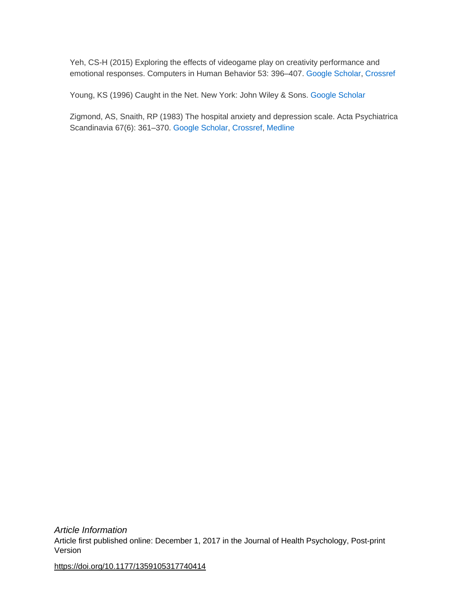Yeh, CS-H (2015) Exploring the effects of videogame play on creativity performance and emotional responses. Computers in Human Behavior 53: 396–407. [Google Scholar,](http://scholar.google.com/scholar_lookup?hl=en&publication_year=2015&pages=396-407&author=CS-H+Yeh&title=Exploring+the+effects+of+videogame+play+on+creativity+performance+and+emotional+responses&) [Crossref](http://journals.sagepub.com/servlet/linkout?suffix=bibr116-1359105317740414&dbid=16&doi=10.1177%2F1359105317740414&key=10.1016%2Fj.chb.2015.07.024)

Young, KS (1996) Caught in the Net. New York: John Wiley & Sons. [Google Scholar](http://scholar.google.com/scholar_lookup?hl=en&publication_year=1996&author=KS+Young&title=Caught+in+the+Net&)

Zigmond, AS, Snaith, RP (1983) The hospital anxiety and depression scale. Acta Psychiatrica Scandinavia 67(6): 361–370. [Google Scholar,](http://scholar.google.com/scholar_lookup?hl=en&publication_year=1983&pages=361-370&issue=6&author=AS+Zigmond&author=RP+Snaith&title=The+hospital+anxiety+and+depression+scale&) [Crossref,](http://journals.sagepub.com/servlet/linkout?suffix=bibr118-1359105317740414&dbid=16&doi=10.1177%2F1359105317740414&key=10.1111%2Fj.1600-0447.1983.tb09716.x) [Medline](http://journals.sagepub.com/servlet/linkout?suffix=bibr118-1359105317740414&dbid=8&doi=10.1177%2F1359105317740414&key=6880820)

*Article Information* Article first published online: December 1, 2017 in the Journal of Health Psychology, Post-print Version